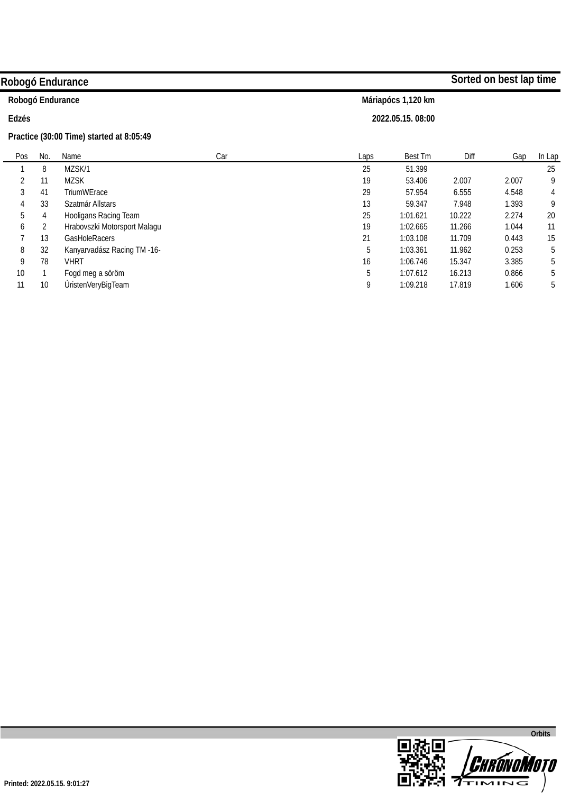|                  |     | Robogó Endurance                         |     |      |                    |        | Sorted on best lap time |        |
|------------------|-----|------------------------------------------|-----|------|--------------------|--------|-------------------------|--------|
| Robogó Endurance |     |                                          |     |      | Máriapócs 1,120 km |        |                         |        |
| Edzés            |     |                                          |     |      | 2022.05.15.08:00   |        |                         |        |
|                  |     | Practice (30:00 Time) started at 8:05:49 |     |      |                    |        |                         |        |
| Pos              | No. | Name                                     | Car | Laps | Best Tm            | Diff   | Gap                     | In Lap |
|                  | 8   | MZSK/1                                   |     | 25   | 51.399             |        |                         | 25     |
| 2                | 11  | <b>MZSK</b>                              |     | 19   | 53.406             | 2.007  | 2.007                   | 9      |
| 3                | 41  | TriumWErace                              |     | 29   | 57.954             | 6.555  | 4.548                   | 4      |
| 4                | 33  | Szatmár Allstars                         |     | 13   | 59.347             | 7.948  | 1.393                   | 9      |
| 5                | 4   | Hooligans Racing Team                    |     | 25   | 1:01.621           | 10.222 | 2.274                   | 20     |
| 6                | 2   | Hrabovszki Motorsport Malagu             |     | 19   | 1:02.665           | 11.266 | 1.044                   | 11     |
|                  | 13  | <b>GasHoleRacers</b>                     |     | 21   | 1:03.108           | 11.709 | 0.443                   | 15     |
| 8                | 32  | Kanyarvadász Racing TM -16-              |     | 5    | 1:03.361           | 11.962 | 0.253                   | 5      |
| 9                | 78  | VHRT                                     |     | 16   | 1:06.746           | 15.347 | 3.385                   | 5      |
| 10               |     | Fogd meg a söröm                         |     | 5    | 1:07.612           | 16.213 | 0.866                   | 5      |

9 1:09.218 17.819 1.606

5

11

10

ÚristenVeryBigTeam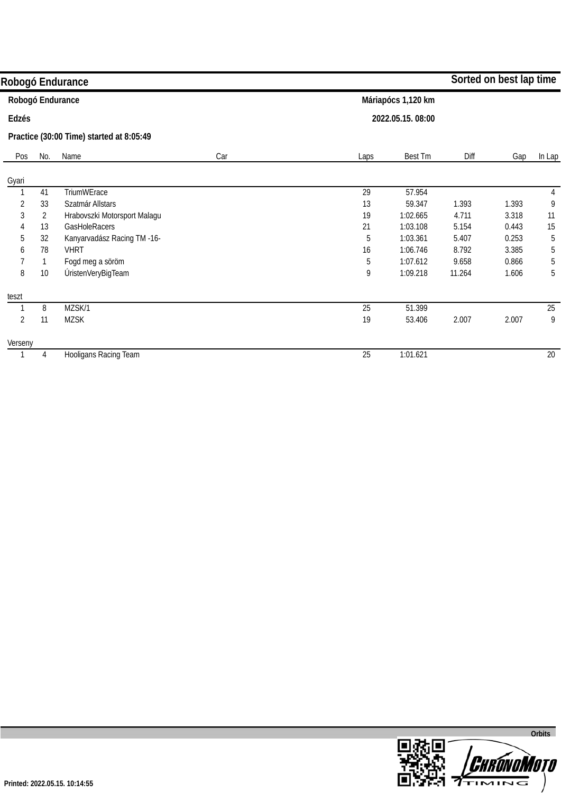|                |                | Robogó Endurance                         |     |      |                    |        | Sorted on best lap time |        |
|----------------|----------------|------------------------------------------|-----|------|--------------------|--------|-------------------------|--------|
|                |                | Robogó Endurance                         |     |      | Máriapócs 1,120 km |        |                         |        |
| Edzés          |                |                                          |     |      | 2022.05.15.08:00   |        |                         |        |
|                |                | Practice (30:00 Time) started at 8:05:49 |     |      |                    |        |                         |        |
| Pos            | No.            | Name                                     | Car | Laps | Best Tm            | Diff   | Gap                     | In Lap |
| Gyari          |                |                                          |     |      |                    |        |                         |        |
|                | 41             | TriumWErace                              |     | 29   | 57.954             |        |                         | 4      |
| $\overline{2}$ | 33             | Szatmár Allstars                         |     | 13   | 59.347             | 1.393  | 1.393                   | 9      |
| 3              | $\overline{2}$ | Hrabovszki Motorsport Malagu             |     | 19   | 1:02.665           | 4.711  | 3.318                   | 11     |
| 4              | 13             | GasHoleRacers                            |     | 21   | 1:03.108           | 5.154  | 0.443                   | 15     |
| 5              | 32             | Kanyarvadász Racing TM -16-              |     | 5    | 1:03.361           | 5.407  | 0.253                   | 5      |
| 6              | 78             | <b>VHRT</b>                              |     | 16   | 1:06.746           | 8.792  | 3.385                   | 5      |
|                |                | Fogd meg a söröm                         |     | 5    | 1:07.612           | 9.658  | 0.866                   | 5      |
| 8              | 10             | ÚristenVeryBigTeam                       |     | 9    | 1:09.218           | 11.264 | 1.606                   | 5      |
| teszt          |                |                                          |     |      |                    |        |                         |        |
|                | 8              | MZSK/1                                   |     | 25   | 51.399             |        |                         | 25     |
| $\overline{2}$ | 11             | <b>MZSK</b>                              |     | 19   | 53.406             | 2.007  | 2.007                   | 9      |
| Verseny        |                |                                          |     |      |                    |        |                         |        |
|                | 4              | Hooligans Racing Team                    |     | 25   | 1:01.621           |        |                         | 20     |

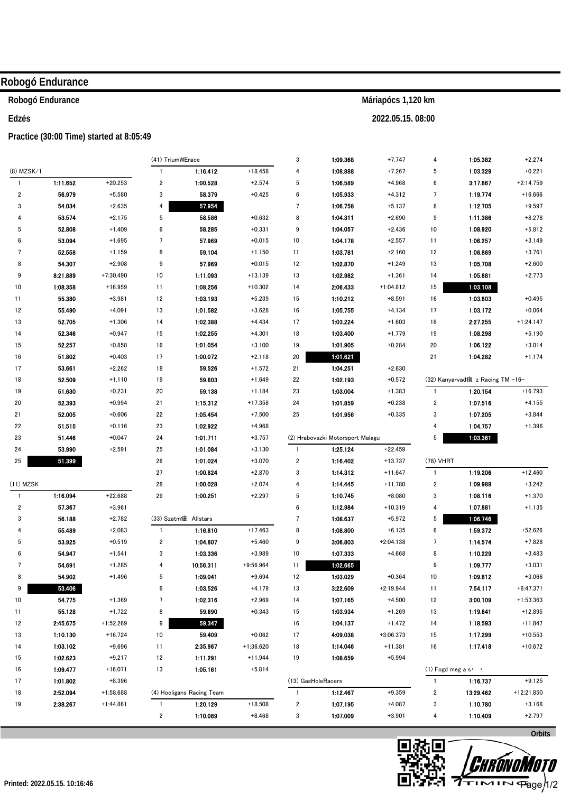|                         | Robogó Endurance |                                          |                         |                           |                      |                 |                                  |                      |                         |                                    |                      |
|-------------------------|------------------|------------------------------------------|-------------------------|---------------------------|----------------------|-----------------|----------------------------------|----------------------|-------------------------|------------------------------------|----------------------|
|                         | Robogó Endurance |                                          |                         |                           |                      |                 |                                  | Máriapócs 1,120 km   |                         |                                    |                      |
| Edzés                   |                  |                                          |                         |                           |                      |                 |                                  | 2022.05.15.08:00     |                         |                                    |                      |
|                         |                  | Practice (30:00 Time) started at 8:05:49 |                         |                           |                      |                 |                                  |                      |                         |                                    |                      |
|                         |                  |                                          | (41) TriumWErace        |                           |                      | $\mathbf{3}$    | 1:09.368                         | $+7.747$             | 4                       | 1:05.382                           | $+2.274$             |
| $(8)$ MZSK/1            |                  |                                          | $\overline{1}$          | 1:16.412                  | $+18.458$            | 4               | 1:08.888                         | $+7.267$             | 5                       | 1:03.329                           | $+0.221$             |
| $\mathbf{1}$            | 1:11.652         | $+20.253$                                | $\boldsymbol{2}$        | 1:00.528                  | $+2.574$             | 5               | 1:06.589                         | $+4.968$             | 6                       | 3:17.867                           | $+2:14.759$          |
| $\overline{\mathbf{c}}$ | 56.979           | $+5.580$                                 | 3                       | 58.379                    | $+0.425$             | 6               | 1:05.933                         | $+4.312$             | 7                       | 1:19.774                           | $+16.666$            |
| 3                       | 54.034           | $+2.635$                                 | 4                       | 57.954                    |                      | $7\phantom{.0}$ | 1:06.758                         | $+5.137$             | 8                       | 1:12.705                           | $+9.597$             |
| 4                       | 53.574           | $+2.175$                                 | 5                       | 58.586                    | $+0.632$             | 8               | 1:04.311                         | $+2.690$             | 9                       | 1:11.386                           | $+8.278$             |
| 5                       | 52.808           | $+1.409$                                 | 6                       | 58.285                    | $+0.331$             | 9               | 1:04.057                         | $+2.436$             | 10                      | 1:08.920                           | $+5.812$             |
| 6                       | 53.094           | $+1.695$                                 | 7                       | 57.969                    | $+0.015$             | 10              | 1:04.178                         | $+2.557$             | 11                      | 1:06.257                           | $+3.149$             |
| 7                       | 52.558           | $+1.159$                                 | 8                       | 59.104                    | $+1.150$             | 11              | 1:03.781                         | $+2.160$             | 12                      | 1:06.869                           | $+3.761$             |
| 8                       | 54.307           | $+2.908$                                 | 9                       | 57.969                    | $+0.015$             | 12              | 1:02.870                         | $+1.249$             | 13                      | 1:05.708                           | $+2.600$             |
| 9                       | 8:21.889         | $+7:30.490$                              | 10                      | 1:11.093                  | $+13.139$            | 13              | 1:02.982                         | $+1.361$             | 14                      | 1:05.881                           | $+2.773$             |
| 10                      | 1:08.358         | $+16.959$                                | 11                      | 1:08.256                  | $+10.302$            | 14              | 2:06.433                         | $+1:04.812$          | 15                      | 1:03.108                           |                      |
| 11                      | 55.380           | $+3.981$                                 | 12                      | 1:03.193                  | $+5.239$             | 15              | 1:10.212                         | $+8.591$             | 16                      | 1:03.603                           | $+0.495$             |
| 12                      | 55.490           | $+4.091$                                 | 13                      | 1:01.582                  | $+3.628$             | 16              | 1:05.755                         | $+4.134$             | 17                      | 1:03.172                           | $+0.064$             |
| 13                      | 52.705           | $+1.306$<br>$+0.947$                     | 14                      | 1:02.388<br>1:02.255      | $+4.434$             | 17              | 1:03.224<br>1:03.400             | $+1.603$<br>$+1.779$ | 18<br>19                | 2:27.255<br>1:08.298               | $+1:24.147$          |
| 14<br>15                | 52.346<br>52.257 | $+0.858$                                 | 15<br>16                | 1:01.054                  | $+4.301$<br>$+3.100$ | 18<br>19        | 1:01.905                         | $+0.284$             | 20                      | 1:06.122                           | $+5.190$<br>$+3.014$ |
| 16                      | 51.802           | $+0.403$                                 | 17                      | 1:00.072                  | $+2.118$             | $20\,$          | 1:01.621                         |                      | 21                      | 1:04.282                           | $+1.174$             |
| 17                      | 53.661           | $+2.262$                                 | 18                      | 59.526                    | $+1.572$             | 21              | 1:04.251                         | $+2.630$             |                         |                                    |                      |
| 18                      | 52.509           | $+1.110$                                 | 19                      | 59.603                    | $+1.649$             | 22              | 1:02.193                         | $+0.572$             |                         | (32) Kanyarvad疽 z Racing TM -16-   |                      |
| 19                      | 51.630           | $+0.231$                                 | 20                      | 59.138                    | $+1.184$             | 23              | 1:03.004                         | $+1.383$             | $\overline{1}$          | 1:20.154                           | $+16.793$            |
| 20                      | 52.393           | $+0.994$                                 | 21                      | 1:15.312                  | $+17.358$            | 24              | 1:01.859                         | $+0.238$             | 2                       | 1:07.516                           | $+4.155$             |
| 21                      | 52.005           | $+0.606$                                 | 22                      | 1.05.454                  | $+7.500$             | 25              | 1:01.956                         | $+0.335$             | 3                       | 1:07.205                           | $+3.844$             |
| 22                      | 51.515           | $+0.116$                                 | 23                      | 1:02.922                  | $+4.968$             |                 |                                  |                      | 4                       | 1:04.757                           | $+1.396$             |
| 23                      | 51.446           | $+0.047$                                 | 24                      | 1:01.711                  | $+3.757$             |                 | (2) Hrabovszki Motorsport Malagu |                      | 5                       | 1:03.361                           |                      |
| 24                      | 53.990           | $+2.591$                                 | 25                      | 1:01.084                  | $+3.130$             | $\mathbf{1}$    | 1:25.124                         | $+22.459$            |                         |                                    |                      |
| 25                      | 51.399           |                                          | 26                      | 1:01.024                  | $+3.070$             | $\overline{2}$  | 1:16.402                         | $+13.737$            | (78) VHRT               |                                    |                      |
|                         |                  |                                          | 27                      | 1:00.824                  | $+2.870$             | 3               | 1:14.312                         | $+11.647$            | $\overline{1}$          | 1:19.206                           | $+12.460$            |
| $(11)$ MZSK             |                  |                                          | 28                      | 1:00.028                  | $+2.074$             | 4               | 1:14.445                         | $+11.780$            | $\boldsymbol{2}$        | 1:09.988                           | $+3.242$             |
| $\mathbf{1}$            | 1:16.094         | $+22.688$                                | 29                      | 1:00.251                  | $+2.297$             | 5               | 1:10.745                         | $+8.080$             | 3                       | 1:08.116                           | $+1.370$             |
| $\overline{2}$          | 57.367           | $+3.961$                                 |                         |                           |                      | $\bf 6$         | 1:12.984                         | $+10.319$            | 4                       | 1:07.881                           | $+1.135$             |
| 3                       | 56.188           | $+2.782$                                 |                         | (33) Szatm疵 Allstars      |                      | $\overline{7}$  | 1:08.637                         | $+5.972$             | 5                       | 1:06.746                           |                      |
| 4                       | 55.489           | $+2.083$                                 | $\overline{1}$          | 1:16.810                  | $+17.463$            | 8               | 1:08.800                         | $+6.135$             | 6                       | 1:59.372                           | $+52.626$            |
| 5                       | 53.925           | $+0.519$                                 | $\overline{\mathbf{c}}$ | 1:04.807                  | $+5.460$             | 9               | 3:06.803                         | $+2:04.138$          | $\overline{7}$          | 1:14.574                           | $+7.828$             |
| 6                       | 54.947           | $+1.541$                                 | 3                       | 1:03.336                  | $+3.989$             | 10              | 1:07.333                         | $+4.668$             | 8                       | 1:10.229                           | $+3.483$             |
| 7                       | 54.691           | $+1.285$                                 | 4                       | 10:56.311                 | $+9:56.964$          | 11              | 1:02.665                         |                      | 9                       | 1:09.777                           | $+3.031$             |
| 8                       | 54.902           | $+1.496$                                 | 5                       | 1:09.041                  | $+9.694$             | 12              | 1:03.029                         | $+0.364$             | 10                      | 1:09.812                           | $+3.066$             |
| 9                       | 53.406           |                                          | 6                       | 1:03.526                  | $+4.179$             | 13              | 3:22.609                         | $+2:19.944$          | 11                      | 7:54.117                           | $+6:47.371$          |
| 10                      | 54.775           | $+1.369$                                 | $\overline{7}$          | 1:02.316                  | $+2.969$             | 14              | 1:07.165                         | $+4.500$             | 12                      | 3:00.109                           | $+1:53.363$          |
| 11                      | 55.128           | $+1.722$                                 | 8                       | 59.690                    | $+0.343$             | 15              | 1.03.934                         | $+1.269$             | 13                      | 1:19.641                           | $+12.895$            |
| 12                      | 2:45.675         | $+1:52.269$                              | 9                       | 59.347                    |                      | 16              | 1:04.137                         | $+1.472$             | 14                      | 1:18.593                           | $+11.847$            |
| 13                      | 1:10.130         | $+16.724$                                | 10                      | 59.409                    | $+0.062$             | 17              | 4:09.038                         | $+3:06.373$          | 15                      | 1:17.299                           | $+10.553$            |
| 14                      | 1:03.102         | $+9.696$                                 | 11                      | 2:35.967                  | $+1:36.620$          | 18              | 1:14.046                         | +11.381              | 16                      | 1:17.418                           | $+10.672$            |
| 15                      | 1:02.623         | $+9.217$                                 | 12                      | 1:11.291                  | $+11.944$            | 19              | 1:08.659                         | $+5.994$             |                         |                                    |                      |
| 16                      | 1.09.477         | $+16.071$                                | 13                      | 1:05.161                  | $+5.814$             |                 |                                  |                      |                         | $(1)$ Fogd meg a s $\cdot$ $\cdot$ |                      |
| 17                      | 1:01.802         | $+8.396$                                 |                         |                           |                      |                 | (13) GasHoleRacers               |                      | $\mathbf{1}$            | 1:16.737                           | $+9.125$             |
| 18                      | 2:52.094         | +1:58.688                                |                         | (4) Hooligans Racing Team |                      | $\mathbf{1}$    | 1:12.467                         | $+9.359$             | $\overline{\mathbf{c}}$ | 13:29.462                          | $+12:21.850$         |
| 19                      | 2:38.267         | $+1:44.861$                              | $\overline{1}$          | 1:20.129                  | $+18.508$            | $\overline{2}$  | 1:07.195                         | $+4.087$             | 3                       | 1:10.780                           | $+3.168$             |
|                         |                  |                                          | $\overline{\mathbf{2}}$ | 1:10.089                  | $+8.468$             | $\sqrt{3}$      | 1:07.009                         | $+3.901$             | 4                       | 1:10.409                           | $+2.797$             |

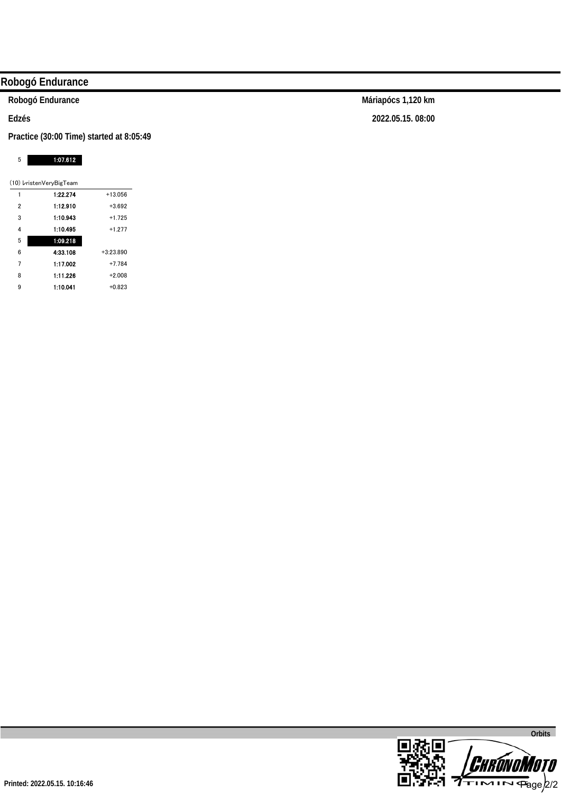## **Robogó Endurance**

**Robogó Endurance** 

**Edzés** 

**Practice (30:00 Time) started at 8:05:49** 

#### 5 1:07.612

|   | (10) VristenVeryBigTeam |             |
|---|-------------------------|-------------|
| 1 | 1:22.274                | $+13.056$   |
| 2 | 1:12.910                | $+3.692$    |
| 3 | 1:10.943                | $+1.725$    |
| 4 | 1:10.495                | $+1.277$    |
| 5 | 1:09.218                |             |
| 6 | 4:33.108                | $+3:23.890$ |
| 7 | 1:17.002                | $+7.784$    |
| 8 | 1:11.226                | $+2.008$    |
| 9 | 1:10.041                | $+0.823$    |

**Máriapócs 1,120 km 2022.05.15. 08:00** 

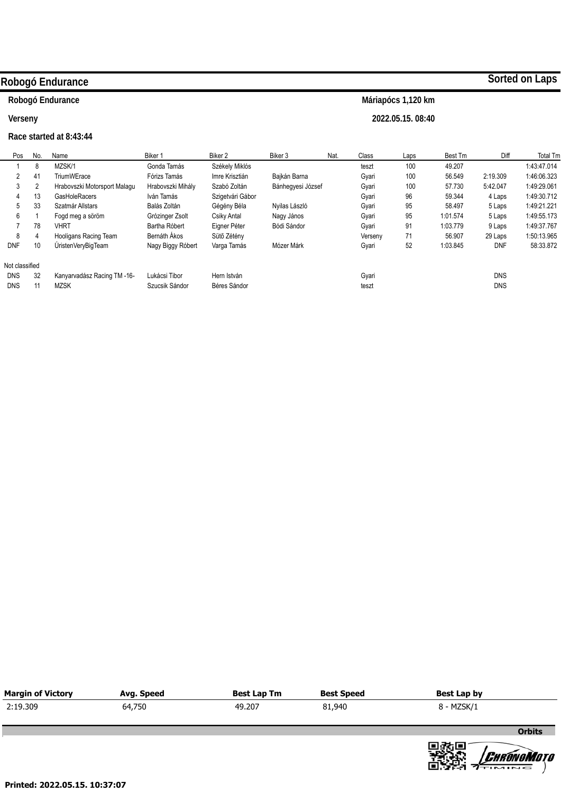## **Robogó Endurance**

## **Robogó Endurance**

**Verseny** 

### **Race started at 8:43:44**

**Máriapócs 1,120 km** 

**2022.05.15. 08:40** 

| Pos            | No. | Name                         | Biker 1           | Biker 2          | Biker 3           | Nat. | Class   | Laps | Best Tm  | Diff       | <b>Total Tm</b> |
|----------------|-----|------------------------------|-------------------|------------------|-------------------|------|---------|------|----------|------------|-----------------|
|                | 8   | MZSK/1                       | Gonda Tamás       | Székely Miklós   |                   |      | teszt   | 100  | 49.207   |            | 1:43:47.014     |
|                | 41  | <b>TriumWErace</b>           | Fórizs Tamás      | Imre Krisztián   | Bajkán Barna      |      | Gyari   | 100  | 56.549   | 2:19.309   | 1:46:06.323     |
|                | 2   | Hrabovszki Motorsport Malagu | Hrabovszki Mihály | Szabó Zoltán     | Bánhegyesi József |      | Gyari   | 100  | 57.730   | 5:42.047   | 1:49:29.061     |
| 4              | 13  | <b>GasHoleRacers</b>         | Iván Tamás        | Szigetvári Gábor |                   |      | Gyari   | 96   | 59.344   | 4 Laps     | 1:49:30.712     |
| 5              | 33  | Szatmár Allstars             | Balás Zoltán      | Gégény Béla      | Nyilas László     |      | Gyari   | 95   | 58.497   | 5 Laps     | 1:49:21.221     |
| 6              |     | Fogd meg a söröm             | Grózinger Zsolt   | Csiky Antal      | Nagy János        |      | Gyari   | 95   | 1:01.574 | 5 Laps     | 1:49:55.173     |
|                | 78  | <b>VHRT</b>                  | Bartha Róbert     | Eigner Péter     | Bódi Sándor       |      | Gyari   | 91   | 1:03.779 | 9 Laps     | 1:49:37.767     |
| 8              | 4   | Hooligans Racing Team        | Bernáth Ákos      | Sütő Zétény      |                   |      | Verseny | 71   | 56.907   | 29 Laps    | 1:50:13.965     |
| <b>DNF</b>     | 10  | ÚristenVeryBigTeam           | Nagy Biggy Róbert | Varga Tamás      | Mózer Márk        |      | Gyari   | 52   | 1:03.845 | <b>DNF</b> | 58:33.872       |
| Not classified |     |                              |                   |                  |                   |      |         |      |          |            |                 |
| <b>DNS</b>     | 32  | Kanyarvadász Racing TM -16-  | Lukácsi Tibor     | Hern István      |                   |      | Gyari   |      |          | <b>DNS</b> |                 |
| <b>DNS</b>     | 11  | <b>MZSK</b>                  | Szucsik Sándor    | Béres Sándor     |                   |      | teszt   |      |          | <b>DNS</b> |                 |

| <b>Margin of Victory</b> | Avg. Speed | <b>Best Lap Tm</b> | <b>Best Speed</b> | Best Lap by |               |
|--------------------------|------------|--------------------|-------------------|-------------|---------------|
| 2:19.309                 | 64,750     | 49.207             | 81,940            | 8 - MZSK/1  |               |
|                          |            |                    |                   |             | <b>Orbits</b> |

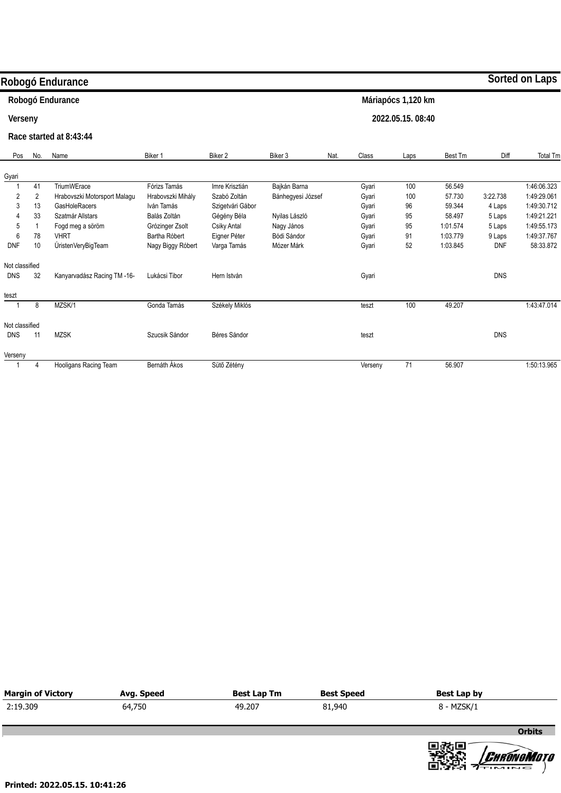|                |     | Robogó Endurance             |                   |                    |                   |      |         |                    |          |            | Sorted on Laps |
|----------------|-----|------------------------------|-------------------|--------------------|-------------------|------|---------|--------------------|----------|------------|----------------|
|                |     | Robogó Endurance             |                   |                    |                   |      |         | Máriapócs 1,120 km |          |            |                |
| Verseny        |     |                              |                   |                    |                   |      |         | 2022.05.15.08:40   |          |            |                |
|                |     | Race started at 8:43:44      |                   |                    |                   |      |         |                    |          |            |                |
| Pos            | No. | Name                         | Biker 1           | Biker <sub>2</sub> | Biker 3           | Nat. | Class   | Laps               | Best Tm  | Diff       | Total Tm       |
| Gyari          |     |                              |                   |                    |                   |      |         |                    |          |            |                |
| $\overline{1}$ | 41  | <b>TriumWErace</b>           | Fórizs Tamás      | Imre Krisztián     | Bajkán Barna      |      | Gyari   | 100                | 56.549   |            | 1:46:06.323    |
| $\overline{2}$ | 2   | Hrabovszki Motorsport Malagu | Hrabovszki Mihály | Szabó Zoltán       | Bánhegyesi József |      | Gyari   | 100                | 57.730   | 3:22.738   | 1:49:29.061    |
| 3              | 13  | GasHoleRacers                | Iván Tamás        | Szigetvári Gábor   |                   |      | Gyari   | 96                 | 59.344   | 4 Laps     | 1:49:30.712    |
|                | 33  | Szatmár Allstars             | Balás Zoltán      | Gégény Béla        | Nyilas László     |      | Gyari   | 95                 | 58.497   | 5 Laps     | 1:49:21.221    |
| 5              |     | Fogd meg a söröm             | Grózinger Zsolt   | Csiky Antal        | Nagy János        |      | Gyari   | 95                 | 1:01.574 | 5 Laps     | 1:49:55.173    |
| 6              | 78  | <b>VHRT</b>                  | Bartha Róbert     | Eigner Péter       | Bódi Sándor       |      | Gyari   | 91                 | 1:03.779 | 9 Laps     | 1:49:37.767    |
| <b>DNF</b>     | 10  | ÚristenVeryBigTeam           | Nagy Biggy Róbert | Varga Tamás        | Mózer Márk        |      | Gyari   | 52                 | 1:03.845 | <b>DNF</b> | 58:33.872      |
| Not classified |     |                              |                   |                    |                   |      |         |                    |          |            |                |
| <b>DNS</b>     | 32  | Kanyarvadász Racing TM -16-  | Lukácsi Tibor     | Hern István        |                   |      | Gyari   |                    |          | <b>DNS</b> |                |
| teszt          |     |                              |                   |                    |                   |      |         |                    |          |            |                |
|                | 8   | MZSK/1                       | Gonda Tamás       | Székely Miklós     |                   |      | teszt   | 100                | 49.207   |            | 1:43:47.014    |
| Not classified |     |                              |                   |                    |                   |      |         |                    |          |            |                |
| <b>DNS</b>     | 11  | <b>MZSK</b>                  | Szucsik Sándor    | Béres Sándor       |                   |      | teszt   |                    |          | <b>DNS</b> |                |
| Verseny        |     |                              |                   |                    |                   |      |         |                    |          |            |                |
| $\overline{1}$ | 4   | Hooligans Racing Team        | Bernáth Ákos      | Sütő Zétény        |                   |      | Verseny | 71                 | 56.907   |            | 1:50:13.965    |

| <b>Margin of Victory</b> | Avg. Speed | <b>Best Lap Tm</b> | <b>Best Speed</b> | Best Lap by |               |
|--------------------------|------------|--------------------|-------------------|-------------|---------------|
| 2:19.309                 | 64,750     | 49.207             | 81,940            | 8 - MZSK/1  |               |
|                          |            |                    |                   |             | <b>Orbits</b> |

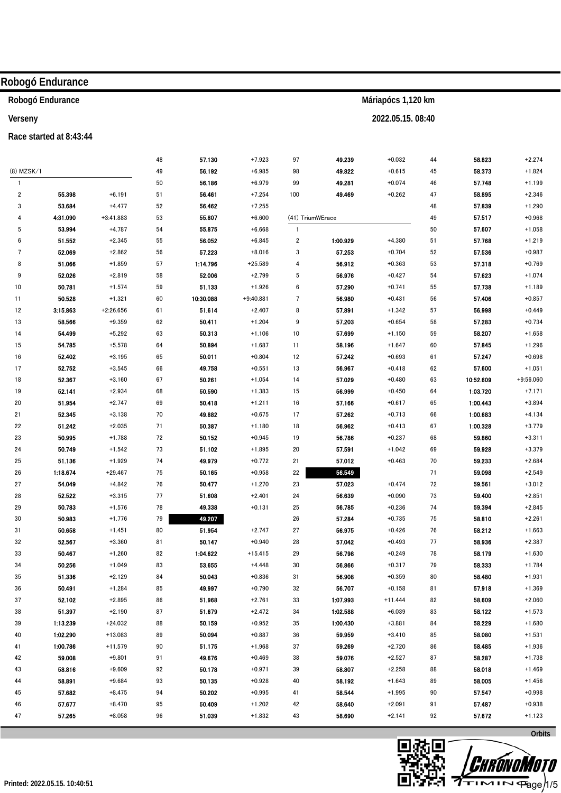|              | Robogó Endurance        |                       |          |                  |                      |                         |                  |                    |          |                  |                      |
|--------------|-------------------------|-----------------------|----------|------------------|----------------------|-------------------------|------------------|--------------------|----------|------------------|----------------------|
|              | Robogó Endurance        |                       |          |                  |                      |                         |                  | Máriapócs 1,120 km |          |                  |                      |
| Verseny      |                         |                       |          |                  |                      |                         |                  | 2022.05.15.08:40   |          |                  |                      |
|              | Race started at 8:43:44 |                       |          |                  |                      |                         |                  |                    |          |                  |                      |
|              |                         |                       | 48       | 57.130           | $+7.923$             | 97                      | 49.239           | $+0.032$           | 44       | 58.823           | $+2.274$             |
| (8) MZSK/1   |                         |                       | 49       | 56.192           | $+6.985$             | 98                      | 49.822           | $+0.615$           | 45       | 58.373           | $+1.824$             |
| $\mathbf{1}$ |                         |                       | 50       | 56.186           | $+6.979$             | 99                      | 49.281           | $+0.074$           | 46       | 57.748           | $+1.199$             |
| $\sqrt{2}$   | 55.398                  | $+6.191$              | 51       | 56.461           | $+7.254$             | 100                     | 49.469           | $+0.262$           | 47       | 58.895           | $+2.346$             |
| 3            | 53.684                  | $+4.477$              | 52       | 56.462           | $+7.255$             |                         |                  |                    | 48       | 57.839           | $+1.290$             |
| 4            | 4:31.090                | $+3:41.883$           | 53       | 55.807           | $+6.600$             |                         | (41) TriumWErace |                    | 49       | 57.517           | $+0.968$             |
| 5            | 53.994                  | $+4.787$              | 54       | 55.875           | $+6.668$             | $\mathbf{1}$            |                  |                    | 50       | 57.607           | $+1.058$             |
| 6            | 51.552                  | $+2.345$              | 55       | 56.052           | $+6.845$             | $\overline{\mathbf{c}}$ | 1:00.929         | $+4.380$           | 51       | 57.768           | $+1.219$             |
| 7            | 52.069                  | $+2.862$              | 56       | 57.223           | $+8.016$             | 3                       | 57.253           | $+0.704$           | 52       | 57.536           | $+0.987$             |
| 8            | 51.066                  | $+1.859$              | 57       | 1:14.796         | $+25.589$            | 4                       | 56.912           | $+0.363$           | 53       | 57.318           | $+0.769$             |
| 9            | 52.026                  | $+2.819$              | 58       | 52.006           | $+2.799$             | 5                       | 56.976           | $+0.427$           | 54       | 57.623           | $+1.074$             |
| 10           | 50.781                  | $+1.574$              | 59       | 51.133           | $+1.926$             | 6                       | 57.290           | $+0.741$           | 55       | 57.738           | $+1.189$             |
| 11           | 50.528                  | $+1.321$              | 60       | 10:30.088        | $+9:40.881$          | 7                       | 56.980           | $+0.431$           | 56       | 57.406           | $+0.857$             |
| 12           | 3:15.863                | $+2:26.656$           | 61       | 51.614           | $+2.407$             | 8                       | 57.891           | $+1.342$           | 57       | 56.998           | $+0.449$             |
| 13           | 58.566                  | $+9.359$              | 62       | 50.411           | $+1.204$             | 9                       | 57.203           | $+0.654$           | 58       | 57.283           | $+0.734$             |
| 14           | 54.499                  | $+5.292$              | 63       | 50.313           | $+1.106$             | 10                      | 57.699           | $+1.150$           | 59       | 58.207           | $+1.658$             |
| 15           | 54.785                  | $+5.578$              | 64       | 50.894           | $+1.687$             | 11                      | 58.196           | $+1.647$           | 60       | 57.845           | $+1.296$             |
| 16           | 52.402                  | $+3.195$              | 65       | 50.011           | $+0.804$             | 12                      | 57.242           | $+0.693$           | 61       | 57.247           | $+0.698$             |
| 17           | 52.752                  | $+3.545$              | 66       | 49.758           | $+0.551$             | 13                      | 56.967           | $+0.418$           | 62       | 57.600           | $+1.051$             |
| 18           | 52.367                  | $+3.160$              | 67       | 50.261           | $+1.054$             | 14                      | 57.029           | $+0.480$           | 63       | 10:52.609        | $+9:56.060$          |
| 19           | 52.141                  | $+2.934$              | 68       | 50.590           | $+1.383$             | 15                      | 56.999           | $+0.450$           | 64       | 1:03.720         | $+7.171$             |
| 20           | 51.954                  | $+2.747$              | 69       | 50.418           | $+1.211$             | 16                      | 57.166           | $+0.617$           | 65       | 1:00.443         | $+3.894$             |
| 21           | 52.345                  | $+3.138$              | 70       | 49.882           | $+0.675$             | 17                      | 57.262           | $+0.713$           | 66       | 1:00.683         | $+4.134$             |
| 22           | 51.242                  | $+2.035$              | 71       | 50.387           | $+1.180$             | 18                      | 56.962           | $+0.413$           | 67       | 1:00.328         | $+3.779$             |
| 23           | 50.995                  | $+1.788$              | 72       | 50.152           | $+0.945$             | 19                      | 56.786           | $+0.237$           | 68       | 59.860           | $+3.311$             |
| 24           | 50.749                  | $+1.542$              | 73       | 51.102           | $+1.895$             | 20                      | 57.591           | $+1.042$           | 69       | 59.928           | $+3.379$             |
| 25           | 51.136                  | $+1.929$              | 74       | 49.979           | $+0.772$             | 21                      | 57.012           | $+0.463$           | 70       | 59.233           | $+2.684$             |
| 26<br>27     | 1:18.674<br>54.049      | $+29.467$<br>$+4.842$ | 75<br>76 | 50.165<br>50.477 | $+0.958$<br>$+1.270$ | 22<br>23                | 56.549<br>57.023 | $+0.474$           | 71<br>72 | 59.098<br>59.561 | $+2.549$<br>$+3.012$ |
| 28           | 52.522                  | $+3.315$              | 77       | 51.608           | $+2.401$             | 24                      | 56.639           | $+0.090$           | 73       | 59.400           | $+2.851$             |
| 29           | 50.783                  | $+1.576$              | 78       | 49.338           | $+0.131$             | 25                      | 56.785           | $+0.236$           | 74       | 59.394           | $+2.845$             |
| 30           | 50.983                  | $+1.776$              | 79       | 49.207           |                      | $26\,$                  | 57.284           | $+0.735$           | 75       | 58.810           | $+2.261$             |
| 31           | 50.658                  | $+1.451$              | 80       | 51.954           | $+2.747$             | 27                      | 56.975           | $+0.426$           | 76       | 58.212           | $+1.663$             |
| 32           | 52.567                  | $+3.360$              | 81       | 50.147           | $+0.940$             | 28                      | 57.042           | $+0.493$           | 77       | 58.936           | $+2.387$             |
| 33           | 50.467                  | $+1.260$              | 82       | 1:04.622         | $+15.415$            | 29                      | 56.798           | $+0.249$           | 78       | 58.179           | $+1.630$             |
| 34           | 50.256                  | $+1.049$              | 83       | 53.655           | $+4.448$             | 30                      | 56.866           | $+0.317$           | 79       | 58.333           | $+1.784$             |
| 35           | 51.336                  | $+2.129$              | 84       | 50.043           | $+0.836$             | 31                      | 56.908           | $+0.359$           | 80       | 58.480           | $+1.931$             |
| 36           | 50.491                  | $+1.284$              | 85       | 49.997           | $+0.790$             | 32                      | 56.707           | $+0.158$           | 81       | 57.918           | $+1.369$             |
| 37           | 52.102                  | $+2.895$              | 86       | 51.968           | $+2.761$             | 33                      | 1:07.993         | $+11.444$          | 82       | 58.609           | $+2.060$             |
| 38           | 51.397                  | $+2.190$              | 87       | 51.679           | $+2.472$             | 34                      | 1:02.588         | $+6.039$           | 83       | 58.122           | $+1.573$             |
| 39           | 1:13.239                | $+24.032$             | 88       | 50.159           | $+0.952$             | 35                      | 1:00.430         | $+3.881$           | 84       | 58.229           | $+1.680$             |
| 40           | 1:02.290                | $+13.083$             | 89       | 50.094           | $+0.887$             | 36                      | 59.959           | $+3.410$           | 85       | 58.080           | $+1.531$             |
| 41           | 1:00.786                | $+11.579$             | 90       | 51.175           | $+1.968$             | 37                      | 59.269           | $+2.720$           | 86       | 58.485           | $+1.936$             |
| 42           | 59.008                  | $+9.801$              | 91       | 49.676           | $+0.469$             | 38                      | 59.076           | $+2.527$           | 87       | 58.287           | $+1.738$             |
| 43           | 58.816                  | $+9.609$              | 92       | 50.178           | $+0.971$             | 39                      | 58.807           | $+2.258$           | 88       | 58.018           | $+1.469$             |
| 44           | 58.891                  | $+9.684$              | 93       | 50.135           | $+0.928$             | 40                      | 58.192           | $+1.643$           | 89       | 58.005           | $+1.456$             |
| 45           | 57.682                  | $+8.475$              | 94       | 50.202           | $+0.995$             | 41                      | 58.544           | $+1.995$           | 90       | 57.547           | $+0.998$             |
| 46           | 57.677                  | $+8.470$              | 95       | 50.409           | $+1.202$             | 42                      | 58.640           | $+2.091$           | 91       | 57.487           | $+0.938$             |
| 47           | 57.265                  | $+8.058$              | 96       | 51.039           | $+1.832$             | 43                      | 58.690           | $+2.141$           | 92       | 57.672           | $+1.123$             |



Orbits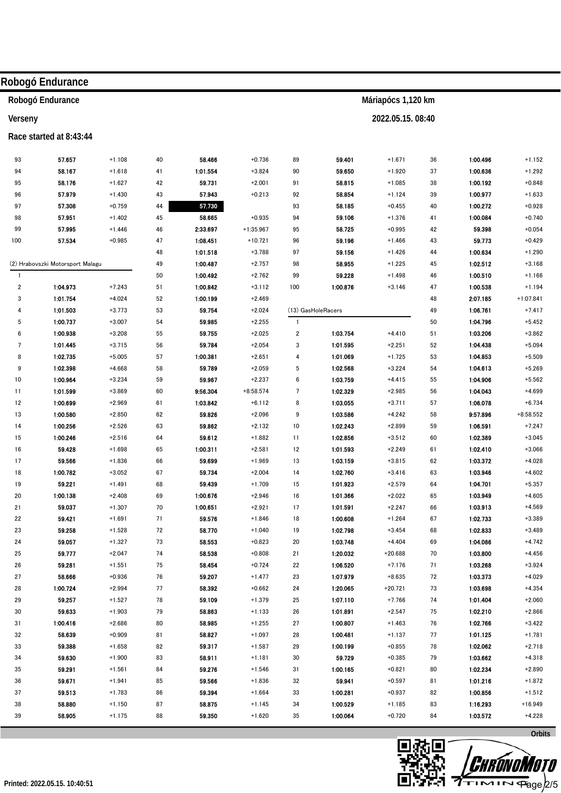|                         | Robogó Endurance                 |                      |          |                  |                      |                         |                      |                       |          |                      |                      |
|-------------------------|----------------------------------|----------------------|----------|------------------|----------------------|-------------------------|----------------------|-----------------------|----------|----------------------|----------------------|
|                         | Robogó Endurance                 |                      |          |                  |                      |                         |                      | Máriapócs 1,120 km    |          |                      |                      |
| Verseny                 |                                  |                      |          |                  |                      |                         |                      | 2022.05.15.08:40      |          |                      |                      |
|                         | Race started at 8:43:44          |                      |          |                  |                      |                         |                      |                       |          |                      |                      |
| 93                      | 57.657                           | $+1.108$             | 40       | 58.466           | $+0.736$             | 89                      | 59.401               | $+1.671$              | 36       | 1:00.496             | $+1.152$             |
| 94                      | 58.167                           | $+1.618$             |          | 1:01.554         | $+3.824$             | 90                      | 59.650               | $+1.920$              | 37       | 1:00.636             | $+1.292$             |
|                         | 58.176                           |                      | 41       | 59.731           | $+2.001$             |                         | 58.815               | $+1.085$              |          | 1:00.192             |                      |
| 95<br>96                | 57.979                           | $+1.627$<br>$+1.430$ | 42<br>43 | 57.943           | $+0.213$             | 91<br>92                | 58.854               | $+1.124$              | 38<br>39 | 1:00.977             | $+0.848$<br>$+1.633$ |
| 97                      | 57.308                           | $+0.759$             | 44       | 57.730           |                      | 93                      | 58.185               | $+0.455$              | 40       | 1:00.272             | $+0.928$             |
| 98                      | 57.951                           | $+1.402$             | 45       | 58.665           | $+0.935$             | 94                      | 59.106               | $+1.376$              | 41       | 1:00.084             | $+0.740$             |
| 99                      | 57.995                           | $+1.446$             | 46       | 2:33.697         | $+1:35.967$          | 95                      | 58.725               | $+0.995$              | 42       | 59.398               | $+0.054$             |
| 100                     | 57.534                           | $+0.985$             | 47       | 1:08.451         | $+10.721$            | 96                      | 59.196               | $+1.466$              | 43       | 59.773               | $+0.429$             |
|                         |                                  |                      | 48       | 1:01.518         | $+3.788$             | 97                      | 59.156               | $+1.426$              | 44       | 1:00.634             | $+1.290$             |
|                         | (2) Hrabovszki Motorsport Malagu |                      | 49       | 1:00.487         | $+2.757$             | 98                      | 58.955               | $+1.225$              | 45       | 1:02.512             | $+3.168$             |
| $\mathbf{1}$            |                                  |                      | 50       | 1:00.492         | $+2.762$             | 99                      | 59.228               | $+1.498$              | 46       | 1:00.510             | $+1.166$             |
| $\overline{\mathbf{c}}$ | 1:04.973                         | $+7.243$             | 51       | 1:00.842         | $+3.112$             | 100                     | 1:00.876             | $+3.146$              | 47       | 1:00.538             | $+1.194$             |
| 3                       | 1:01.754                         | $+4.024$             | 52       | 1:00.199         | $+2.469$             |                         |                      |                       | 48       | 2:07.185             | $+1:07.841$          |
| 4                       | 1:01.503                         | $+3.773$             | 53       | 59.754           | $+2.024$             |                         | (13) GasHoleRacers   |                       | 49       | 1:06.761             | $+7.417$             |
| 5                       | 1:00.737                         | $+3.007$             | 54       | 59.985           | $+2.255$             | $\overline{1}$          |                      |                       | 50       | 1:04.796             | $+5.452$             |
| 6                       | 1:00.938                         | $+3.208$             | 55       | 59.755           | $+2.025$             | $\overline{\mathbf{c}}$ | 1:03.754             | $+4.410$              | 51       | 1:03.206             | $+3.862$             |
| $\overline{7}$          | 1:01.445                         | $+3.715$             | 56       | 59.784           | $+2.054$             | 3                       | 1:01.595             | $+2.251$              | 52       | 1:04.438             | $+5.094$             |
| 8                       | 1:02.735                         | $+5.005$             | 57       | 1:00.381         | $+2.651$             | 4                       | 1:01.069             | $+1.725$              | 53       | 1:04.853             | $+5.509$             |
| 9                       | 1:02.398                         | $+4.668$             | 58       | 59.789           | $+2.059$             | 5                       | 1:02.568             | $+3.224$              | 54       | 1:04.613             | $+5.269$             |
| 10                      | 1:00.964                         | $+3.234$             | 59       | 59.967           | $+2.237$             | 6                       | 1:03.759             | $+4.415$              | 55       | 1:04.906             | $+5.562$             |
| 11                      | 1:01.599                         | $+3.869$             | 60       | 9:56.304         | $+8:58.574$          | 7                       | 1:02.329             | $+2.985$              | 56       | 1:04.043             | $+4.699$             |
| 12                      | 1:00.699                         | $+2.969$             | 61       | 1:03.842         | $+6.112$             | 8                       | 1:03.055             | $+3.711$              | 57       | 1:06.078             | $+6.734$             |
| 13                      | 1:00.580                         | $+2.850$             | 62       | 59.826           | $+2.096$             | 9                       | 1:03.586             | $+4.242$              | 58       | 9:57.896             | $+8:58.552$          |
| 14                      | 1:00.256                         | $+2.526$             | 63       | 59.862           | $+2.132$             | 10                      | 1:02.243             | $+2.899$              | 59       | 1:06.591             | $+7.247$             |
| 15                      | 1:00.246                         | $+2.516$             | 64       | 59.612           | $+1.882$             | 11                      | 1:02.856             | $+3.512$              | 60       | 1:02.389             | $+3.045$             |
| 16                      | 59.428                           | $+1.698$             | 65       | 1:00.311         | $+2.581$             | 12                      | 1:01.593             | $+2.249$              | 61       | 1:02.410             | $+3.066$             |
| 17                      | 59.566                           | $+1.836$             | 66       | 59.699           | $+1.969$             | 13                      | 1:03.159             | $+3.815$              | 62       | 1:03.372             | $+4.028$             |
| 18                      | 1:00.782                         | $+3.052$             | 67       | 59.734           | $+2.004$             | 14                      | 1:02.760             | $+3.416$              | 63       | 1:03.946             | $+4.602$             |
| 19                      | 59.221                           | $+1.491$             | 68       | 59.439           | $+1.709$             | 15                      | 1:01.923             | $+2.579$              | 64       | 1:04.701             | $+5.357$             |
| 20                      | 1:00.138                         | $+2.408$             | 69       | 1:00.676         | $+2.946$             | 16                      | 1:01.366             | $+2.022$              | 65       | 1:03.949             | +4.605               |
| 21                      | 59.037                           | $+1.307$             | 70       | 1:00.651         | $+2.921$             | 17                      | 1:01.591             | $+2.247$              | 66       | 1:03.913             | $+4.569$             |
| 22                      | 59.421                           | $+1.691$             | 71       | 59.576           | $+1.846$             | 18                      | 1:00.608             | $+1.264$              | 67       | 1:02.733             | $+3.389$             |
| 23                      | 59.258                           | $+1.528$             | 72       | 58.770           | $+1.040$             | 19                      | 1:02.798             | $+3.454$              | 68       | 1:02.833             | $+3.489$             |
| 24                      | 59.057                           | $+1.327$             | 73       | 58.553           | $+0.823$             | 20                      | 1:03.748             | $+4.404$              | 69       | 1:04.086             | $+4.742$             |
| 25                      | 59.777                           | $+2.047$             | 74       | 58.538           | $+0.808$             | 21                      | 1:20.032             | $+20.688$             | 70       | 1:03.800             | $+4.456$             |
| 26                      | 59.281                           | $+1.551$             | 75       | 58.454           | $+0.724$             | 22                      | 1:06.520             | $+7.176$              | 71       | 1:03.268             | $+3.924$             |
| 27                      | 58.666                           | $+0.936$             | 76       | 59.207           | $+1.477$             | 23                      | 1:07.979             | $+8.635$              | 72       | 1:03.373             | $+4.029$             |
| 28                      | 1:00.724<br>59.257               | $+2.994$<br>$+1.527$ | 77<br>78 | 58.392<br>59.109 | $+0.662$<br>$+1.379$ | 24                      | 1:20.065<br>1:07.110 | $+20.721$<br>$+7.766$ | 73       | 1:03.698<br>1:01.404 | $+4.354$<br>$+2.060$ |
| 29<br>30                | 59.633                           | $+1.903$             | 79       | 58.863           | $+1.133$             | 25                      | 1:01.891             | $+2.547$              | 74       | 1:02.210             | $+2.866$             |
| 31                      | 1:00.416                         | $+2.686$             | 80       | 58.985           | $+1.255$             | 26<br>27                | 1:00.807             | $+1.463$              | 75<br>76 | 1:02.766             | $+3.422$             |
| 32                      | 58.639                           | $+0.909$             | 81       | 58.827           | $+1.097$             | 28                      | 1:00.481             | $+1.137$              | 77       | 1:01.125             | $+1.781$             |
| 33                      | 59.388                           | $+1.658$             | 82       | 59.317           | $+1.587$             | 29                      | 1:00.199             | $+0.855$              | 78       | 1:02.062             | $+2.718$             |
| 34                      | 59.630                           | $+1.900$             | 83       | 58.911           | $+1.181$             | 30                      | 59.729               | $+0.385$              | 79       | 1:03.662             | $+4.318$             |
| 35                      | 59.291                           | $+1.561$             | 84       | 59.276           | $+1.546$             | 31                      | 1:00.165             | $+0.821$              | 80       | 1:02.234             | $+2.890$             |
| 36                      | 59.671                           | $+1.941$             | 85       | 59.566           | $+1.836$             | 32                      | 59.941               | $+0.597$              | 81       | 1:01.216             | $+1.872$             |
| 37                      | 59.513                           | $+1.783$             | 86       | 59.394           | $+1.664$             | 33                      | 1:00.281             | $+0.937$              | 82       | 1:00.856             | $+1.512$             |
| 38                      | 58.880                           | $+1.150$             | 87       | 58.875           | $+1.145$             | 34                      | 1:00.529             | $+1.185$              | 83       | 1:16.293             | $+16.949$            |
| 39                      | 58.905                           | $+1.175$             | 88       | 59.350           | $+1.620$             | 35                      | 1:00.064             | $+0.720$              | 84       | 1:03.572             | $+4.228$             |
|                         |                                  |                      |          |                  |                      |                         |                      |                       |          |                      |                      |
|                         |                                  |                      |          |                  |                      |                         |                      |                       |          |                      | Orbits               |



**ww.miloro Licensed to: Hungary** 

**P**age/2/5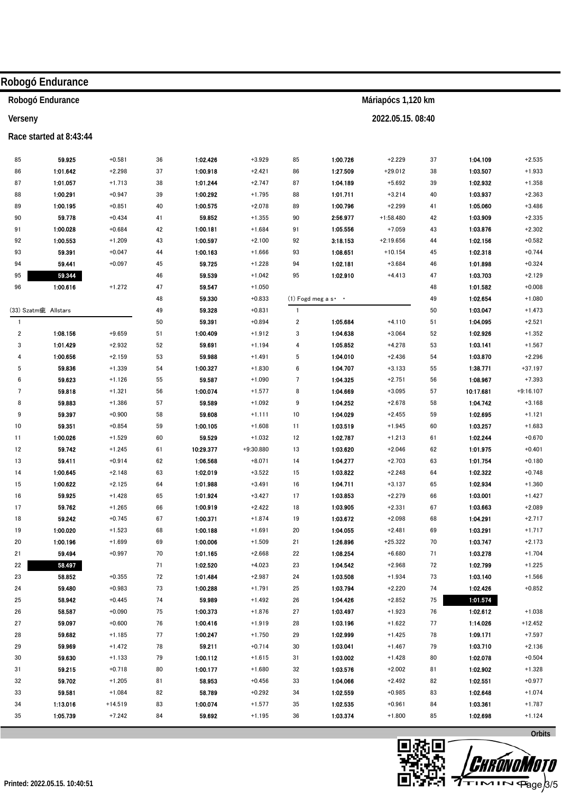| Robogó Endurance<br>Máriapócs 1,120 km<br>2022.05.15.08:40<br>Verseny<br>Race started at 8:43:44<br>59.925<br>$+0.581$<br>1:02.426<br>$+3.929$<br>85<br>1:00.726<br>$+2.229$<br>37<br>1:04.109<br>$+2.535$<br>85<br>36<br>1:01.642<br>1:00.918<br>1:27.509<br>1:03.507<br>$+1.933$<br>86<br>$+2.298$<br>37<br>$+2.421$<br>86<br>$+29.012$<br>38<br>1:01.057<br>1:01.244<br>1:04.189<br>1:02.932<br>87<br>$+1.713$<br>38<br>$+2.747$<br>87<br>$+5.692$<br>39<br>$+1.358$<br>88<br>1:00.291<br>$+0.947$<br>39<br>1:00.292<br>$+1.795$<br>88<br>1:01.711<br>$+3.214$<br>40<br>1:03.937<br>$+2.363$<br>$+2.299$<br>89<br>1:00.195<br>$+0.851$<br>40<br>1:00.575<br>$+2.078$<br>89<br>1:00.796<br>1:05.060<br>$+3.486$<br>41<br>59.778<br>59.852<br>90<br>$+0.434$<br>41<br>90<br>2:56.977<br>$+1:58.480$<br>42<br>1:03.909<br>$+2.335$<br>$+1.355$<br>91<br>1:00.028<br>42<br>1:00.181<br>91<br>1:05.556<br>$+7.059$<br>1:03.876<br>$+2.302$<br>$+0.684$<br>$+1.684$<br>43<br>1:00.553<br>92<br>$+1.209$<br>43<br>1:00.597<br>$+2.100$<br>92<br>3:18.153<br>$+2:19.656$<br>44<br>1:02.156<br>$+0.582$<br>$+0.744$<br>93<br>59.391<br>$+0.047$<br>44<br>1:00.163<br>$+1.666$<br>93<br>1:08.651<br>$+10.154$<br>45<br>1:02.318<br>94<br>59.441<br>$+0.097$<br>45<br>59.725<br>$+1.228$<br>94<br>1:02.181<br>$+3.684$<br>46<br>1:01.898<br>$+0.324$<br>59.344<br>95<br>59.539<br>95<br>1:02.910<br>$+4.413$<br>$+2.129$<br>46<br>$+1.042$<br>47<br>1:03.703<br>96<br>$+1.272$<br>59.547<br>1:01.582<br>1:00.616<br>47<br>$+1.050$<br>48<br>$+0.008$<br>59.330<br>1:02.654<br>48<br>$+0.833$<br>$(1)$ Fogd meg a s $\cdot$ $\cdot$<br>49<br>$+1.080$<br>(33) Szatm疵 Allstars<br>59.328<br>1:03.047<br>49<br>$+0.831$<br>$\overline{1}$<br>50<br>$+1.473$<br>50<br>59.391<br>$+2.521$<br>$+0.894$<br>$\overline{\mathbf{c}}$<br>1:05.684<br>$+4.110$<br>51<br>1:04.095<br>$\mathbf{1}$<br>$\overline{\mathbf{c}}$<br>1:08.156<br>$+9.659$<br>51<br>1:00.409<br>3<br>1:04.638<br>$+3.064$<br>1:02.926<br>$+1.352$<br>$+1.912$<br>52<br>1:01.429<br>$+2.932$<br>59.691<br>1:05.852<br>$+4.278$<br>1:03.141<br>$+1.567$<br>3<br>52<br>$+1.194$<br>53<br>4<br>1:00.656<br>1:04.010<br>1:03.870<br>$+2.296$<br>$+2.159$<br>53<br>59.988<br>$+1.491$<br>5<br>$+2.436$<br>54<br>4<br>59.836<br>$+1.339$<br>1:00.327<br>1:04.707<br>1:38.771<br>$+37.197$<br>5<br>54<br>$+1.830$<br>6<br>$+3.133$<br>55<br>1:04.325<br>59.623<br>59.587<br>$+1.090$<br>$\overline{7}$<br>$+2.751$<br>1:08.967<br>$+7.393$<br>6<br>$+1.126$<br>55<br>56<br>59.818<br>1:00.074<br>$+1.577$<br>8<br>1:04.669<br>$+3.095$<br>10:17.681<br>$+9:16.107$<br>7<br>$+1.321$<br>56<br>57<br>1:04.252<br>1:04.742<br>8<br>59.883<br>$+1.386$<br>57<br>59.589<br>$+1.092$<br>9<br>$+2.678$<br>58<br>$+3.168$<br>1:04.029<br>1:02.695<br>9<br>59.397<br>$+0.900$<br>58<br>59.608<br>$+1.111$<br>10<br>$+2.455$<br>59<br>$+1.121$<br>59.351<br>1:03.519<br>1:03.257<br>10<br>$+0.854$<br>59<br>1:00.105<br>$+1.608$<br>11<br>$+1.945$<br>60<br>$+1.683$<br>1:00.026<br>60<br>59.529<br>1:02.787<br>1:02.244<br>$+1.529$<br>$+1.032$<br>12<br>$+1.213$<br>$+0.670$<br>11<br>61<br>12<br>59.742<br>$+1.245$<br>61<br>10:29.377<br>$+9:30.880$<br>13<br>1:03.620<br>$+2.046$<br>62<br>1:01.975<br>$+0.401$<br>13<br>59.411<br>$+0.914$<br>62<br>1:06.568<br>$+8.071$<br>14<br>1:04.277<br>$+2.703$<br>1:01.754<br>$+0.180$<br>63<br>1:00.645<br>1:03.822<br>14<br>$+2.148$<br>63<br>1:02.019<br>$+3.522$<br>15<br>$+2.248$<br>1:02.322<br>$+0.748$<br>64<br>1:00.622<br>1:04.711<br>15<br>$+2.125$<br>64<br>1:01.988<br>$+3.491$<br>16<br>$+3.137$<br>65<br>1:02.934<br>$+1.360$<br>16<br>59.925<br>+1.428<br>65<br>1:01.924<br>$+3.427$<br>17<br>1:03.853<br>$+2.279$<br>66<br>1:03.001<br>$+1.427$<br>17<br>59.762<br>1:03.905<br>1:03.663<br>$+2.089$<br>$+1.265$<br>66<br>1:00.919<br>$+2.422$<br>18<br>$+2.331$<br>67<br>$+2.717$<br>$18\,$<br>59.242<br>$+0.745$<br>$+1.874$<br>1:03.672<br>$+2.098$<br>1:04.291<br>67<br>1:00.371<br>19<br>68<br>$19$<br>1:00.020<br>$+1.691$<br>1:04.055<br>$+2.481$<br>1:03.291<br>$+1.717$<br>$+1.523$<br>68<br>1:00.188<br>20<br>69<br>20<br>1:00.196<br>$+1.699$<br>$+1.509$<br>1:26.896<br>$+25.322$<br>1:03.747<br>$+2.173$<br>69<br>1:00.006<br>21<br>70<br>59.494<br>$+0.997$<br>70<br>1:01.165<br>$+2.668$<br>1:08.254<br>$+6.680$<br>1:03.278<br>$+1.704$<br>21<br>22<br>71<br>58.497<br>$+4.023$<br>1:04.542<br>$+2.968$<br>22<br>71<br>1:02.520<br>72<br>1:02.799<br>$+1.225$<br>23<br>23<br>58.852<br>$+0.355$<br>72<br>$+2.987$<br>1:03.508<br>1:03.140<br>$+1.566$<br>1:01.484<br>24<br>$+1.934$<br>73<br>$+0.852$<br>59.480<br>$+0.983$<br>$+1.791$<br>1:03.794<br>$+2.220$<br>24<br>73<br>1:00.288<br>25<br>74<br>1:02.426<br>25<br>58.942<br>$+0.445$<br>74<br>59.989<br>$+1.492$<br>$26\,$<br>1:04.426<br>$+2.852$<br>1:01.574<br>75<br>58.587<br>26<br>$+0.090$<br>75<br>1:00.373<br>$+1.876$<br>27<br>1:03.497<br>$+1.923$<br>1:02.612<br>$+1.038$<br>76<br>59.097<br>76<br>$+1.919$<br>1:03.196<br>1:14.026<br>27<br>$+0.600$<br>1:00.416<br>28<br>$+1.622$<br>77<br>$+12.452$<br>59.682<br>77<br>1:00.247<br>1:02.999<br>1:09.171<br>$+7.597$<br>28<br>$+1.185$<br>$+1.750$<br>29<br>$+1.425$<br>78<br>59.969<br>78<br>1:03.041<br>1:03.710<br>$+2.136$<br>29<br>$+1.472$<br>59.211<br>$+0.714$<br>30<br>$+1.467$<br>79<br>59.630<br>79<br>1:03.002<br>1:02.078<br>$+0.504$<br>30<br>$+1.133$<br>1:00.112<br>$+1.615$<br>31<br>$+1.428$<br>80<br>59.215<br>80<br>$+1.680$<br>1:03.576<br>$+2.002$<br>1:02.902<br>$+1.328$<br>31<br>$+0.718$<br>1:00.177<br>32<br>81<br>59.702<br>81<br>58.953<br>1:04.066<br>1:02.551<br>$+0.977$<br>32<br>$+1.205$<br>$+0.456$<br>33<br>$+2.492$<br>82<br>59.581<br>58.789<br>$+0.292$<br>1:02.559<br>1:02.648<br>$+1.074$<br>33<br>$+1.084$<br>82<br>34<br>$+0.985$<br>83<br>34<br>1:13.016<br>1:02.535<br>$+1.787$<br>$+14.519$<br>83<br>1:00.074<br>$+1.577$<br>35<br>$+0.961$<br>84<br>1:03.361<br>35<br>1:05.739<br>84<br>$+1.195$<br>$36\,$<br>1:03.374<br>1:02.698<br>$+1.124$<br>$+7.242$<br>59.692<br>$+1.800$<br>85<br>Orbits | Robogó Endurance |  |  |  |  |  |
|---------------------------------------------------------------------------------------------------------------------------------------------------------------------------------------------------------------------------------------------------------------------------------------------------------------------------------------------------------------------------------------------------------------------------------------------------------------------------------------------------------------------------------------------------------------------------------------------------------------------------------------------------------------------------------------------------------------------------------------------------------------------------------------------------------------------------------------------------------------------------------------------------------------------------------------------------------------------------------------------------------------------------------------------------------------------------------------------------------------------------------------------------------------------------------------------------------------------------------------------------------------------------------------------------------------------------------------------------------------------------------------------------------------------------------------------------------------------------------------------------------------------------------------------------------------------------------------------------------------------------------------------------------------------------------------------------------------------------------------------------------------------------------------------------------------------------------------------------------------------------------------------------------------------------------------------------------------------------------------------------------------------------------------------------------------------------------------------------------------------------------------------------------------------------------------------------------------------------------------------------------------------------------------------------------------------------------------------------------------------------------------------------------------------------------------------------------------------------------------------------------------------------------------------------------------------------------------------------------------------------------------------------------------------------------------------------------------------------------------------------------------------------------------------------------------------------------------------------------------------------------------------------------------------------------------------------------------------------------------------------------------------------------------------------------------------------------------------------------------------------------------------------------------------------------------------------------------------------------------------------------------------------------------------------------------------------------------------------------------------------------------------------------------------------------------------------------------------------------------------------------------------------------------------------------------------------------------------------------------------------------------------------------------------------------------------------------------------------------------------------------------------------------------------------------------------------------------------------------------------------------------------------------------------------------------------------------------------------------------------------------------------------------------------------------------------------------------------------------------------------------------------------------------------------------------------------------------------------------------------------------------------------------------------------------------------------------------------------------------------------------------------------------------------------------------------------------------------------------------------------------------------------------------------------------------------------------------------------------------------------------------------------------------------------------------------------------------------------------------------------------------------------------------------------------------------------------------------------------------------------------------------------------------------------------------------------------------------------------------------------------------------------------------------------------------------------------------------------------------------------------------------------------------------------------------------------------------------------------------------------------------------------------------------------------------------------------------------------------------------------------------------------------------------------------------------------------------------------------------------------------------------------------------------------------------------------------------------------------------------------------------------------------------------------------------------------------------------------------------------------------------------------------------------------------------------------------------------------------------------------------------------------------------------------------------------------------------------------------------------------------------------------------------------------------------------------------------|------------------|--|--|--|--|--|
|                                                                                                                                                                                                                                                                                                                                                                                                                                                                                                                                                                                                                                                                                                                                                                                                                                                                                                                                                                                                                                                                                                                                                                                                                                                                                                                                                                                                                                                                                                                                                                                                                                                                                                                                                                                                                                                                                                                                                                                                                                                                                                                                                                                                                                                                                                                                                                                                                                                                                                                                                                                                                                                                                                                                                                                                                                                                                                                                                                                                                                                                                                                                                                                                                                                                                                                                                                                                                                                                                                                                                                                                                                                                                                                                                                                                                                                                                                                                                                                                                                                                                                                                                                                                                                                                                                                                                                                                                                                                                                                                                                                                                                                                                                                                                                                                                                                                                                                                                                                                                                                                                                                                                                                                                                                                                                                                                                                                                                                                                                                                                                                                                                                                                                                                                                                                                                                                                                                                                                                                                                                                                       |                  |  |  |  |  |  |
|                                                                                                                                                                                                                                                                                                                                                                                                                                                                                                                                                                                                                                                                                                                                                                                                                                                                                                                                                                                                                                                                                                                                                                                                                                                                                                                                                                                                                                                                                                                                                                                                                                                                                                                                                                                                                                                                                                                                                                                                                                                                                                                                                                                                                                                                                                                                                                                                                                                                                                                                                                                                                                                                                                                                                                                                                                                                                                                                                                                                                                                                                                                                                                                                                                                                                                                                                                                                                                                                                                                                                                                                                                                                                                                                                                                                                                                                                                                                                                                                                                                                                                                                                                                                                                                                                                                                                                                                                                                                                                                                                                                                                                                                                                                                                                                                                                                                                                                                                                                                                                                                                                                                                                                                                                                                                                                                                                                                                                                                                                                                                                                                                                                                                                                                                                                                                                                                                                                                                                                                                                                                                       |                  |  |  |  |  |  |
|                                                                                                                                                                                                                                                                                                                                                                                                                                                                                                                                                                                                                                                                                                                                                                                                                                                                                                                                                                                                                                                                                                                                                                                                                                                                                                                                                                                                                                                                                                                                                                                                                                                                                                                                                                                                                                                                                                                                                                                                                                                                                                                                                                                                                                                                                                                                                                                                                                                                                                                                                                                                                                                                                                                                                                                                                                                                                                                                                                                                                                                                                                                                                                                                                                                                                                                                                                                                                                                                                                                                                                                                                                                                                                                                                                                                                                                                                                                                                                                                                                                                                                                                                                                                                                                                                                                                                                                                                                                                                                                                                                                                                                                                                                                                                                                                                                                                                                                                                                                                                                                                                                                                                                                                                                                                                                                                                                                                                                                                                                                                                                                                                                                                                                                                                                                                                                                                                                                                                                                                                                                                                       |                  |  |  |  |  |  |
|                                                                                                                                                                                                                                                                                                                                                                                                                                                                                                                                                                                                                                                                                                                                                                                                                                                                                                                                                                                                                                                                                                                                                                                                                                                                                                                                                                                                                                                                                                                                                                                                                                                                                                                                                                                                                                                                                                                                                                                                                                                                                                                                                                                                                                                                                                                                                                                                                                                                                                                                                                                                                                                                                                                                                                                                                                                                                                                                                                                                                                                                                                                                                                                                                                                                                                                                                                                                                                                                                                                                                                                                                                                                                                                                                                                                                                                                                                                                                                                                                                                                                                                                                                                                                                                                                                                                                                                                                                                                                                                                                                                                                                                                                                                                                                                                                                                                                                                                                                                                                                                                                                                                                                                                                                                                                                                                                                                                                                                                                                                                                                                                                                                                                                                                                                                                                                                                                                                                                                                                                                                                                       |                  |  |  |  |  |  |
|                                                                                                                                                                                                                                                                                                                                                                                                                                                                                                                                                                                                                                                                                                                                                                                                                                                                                                                                                                                                                                                                                                                                                                                                                                                                                                                                                                                                                                                                                                                                                                                                                                                                                                                                                                                                                                                                                                                                                                                                                                                                                                                                                                                                                                                                                                                                                                                                                                                                                                                                                                                                                                                                                                                                                                                                                                                                                                                                                                                                                                                                                                                                                                                                                                                                                                                                                                                                                                                                                                                                                                                                                                                                                                                                                                                                                                                                                                                                                                                                                                                                                                                                                                                                                                                                                                                                                                                                                                                                                                                                                                                                                                                                                                                                                                                                                                                                                                                                                                                                                                                                                                                                                                                                                                                                                                                                                                                                                                                                                                                                                                                                                                                                                                                                                                                                                                                                                                                                                                                                                                                                                       |                  |  |  |  |  |  |
|                                                                                                                                                                                                                                                                                                                                                                                                                                                                                                                                                                                                                                                                                                                                                                                                                                                                                                                                                                                                                                                                                                                                                                                                                                                                                                                                                                                                                                                                                                                                                                                                                                                                                                                                                                                                                                                                                                                                                                                                                                                                                                                                                                                                                                                                                                                                                                                                                                                                                                                                                                                                                                                                                                                                                                                                                                                                                                                                                                                                                                                                                                                                                                                                                                                                                                                                                                                                                                                                                                                                                                                                                                                                                                                                                                                                                                                                                                                                                                                                                                                                                                                                                                                                                                                                                                                                                                                                                                                                                                                                                                                                                                                                                                                                                                                                                                                                                                                                                                                                                                                                                                                                                                                                                                                                                                                                                                                                                                                                                                                                                                                                                                                                                                                                                                                                                                                                                                                                                                                                                                                                                       |                  |  |  |  |  |  |
|                                                                                                                                                                                                                                                                                                                                                                                                                                                                                                                                                                                                                                                                                                                                                                                                                                                                                                                                                                                                                                                                                                                                                                                                                                                                                                                                                                                                                                                                                                                                                                                                                                                                                                                                                                                                                                                                                                                                                                                                                                                                                                                                                                                                                                                                                                                                                                                                                                                                                                                                                                                                                                                                                                                                                                                                                                                                                                                                                                                                                                                                                                                                                                                                                                                                                                                                                                                                                                                                                                                                                                                                                                                                                                                                                                                                                                                                                                                                                                                                                                                                                                                                                                                                                                                                                                                                                                                                                                                                                                                                                                                                                                                                                                                                                                                                                                                                                                                                                                                                                                                                                                                                                                                                                                                                                                                                                                                                                                                                                                                                                                                                                                                                                                                                                                                                                                                                                                                                                                                                                                                                                       |                  |  |  |  |  |  |
|                                                                                                                                                                                                                                                                                                                                                                                                                                                                                                                                                                                                                                                                                                                                                                                                                                                                                                                                                                                                                                                                                                                                                                                                                                                                                                                                                                                                                                                                                                                                                                                                                                                                                                                                                                                                                                                                                                                                                                                                                                                                                                                                                                                                                                                                                                                                                                                                                                                                                                                                                                                                                                                                                                                                                                                                                                                                                                                                                                                                                                                                                                                                                                                                                                                                                                                                                                                                                                                                                                                                                                                                                                                                                                                                                                                                                                                                                                                                                                                                                                                                                                                                                                                                                                                                                                                                                                                                                                                                                                                                                                                                                                                                                                                                                                                                                                                                                                                                                                                                                                                                                                                                                                                                                                                                                                                                                                                                                                                                                                                                                                                                                                                                                                                                                                                                                                                                                                                                                                                                                                                                                       |                  |  |  |  |  |  |
|                                                                                                                                                                                                                                                                                                                                                                                                                                                                                                                                                                                                                                                                                                                                                                                                                                                                                                                                                                                                                                                                                                                                                                                                                                                                                                                                                                                                                                                                                                                                                                                                                                                                                                                                                                                                                                                                                                                                                                                                                                                                                                                                                                                                                                                                                                                                                                                                                                                                                                                                                                                                                                                                                                                                                                                                                                                                                                                                                                                                                                                                                                                                                                                                                                                                                                                                                                                                                                                                                                                                                                                                                                                                                                                                                                                                                                                                                                                                                                                                                                                                                                                                                                                                                                                                                                                                                                                                                                                                                                                                                                                                                                                                                                                                                                                                                                                                                                                                                                                                                                                                                                                                                                                                                                                                                                                                                                                                                                                                                                                                                                                                                                                                                                                                                                                                                                                                                                                                                                                                                                                                                       |                  |  |  |  |  |  |
|                                                                                                                                                                                                                                                                                                                                                                                                                                                                                                                                                                                                                                                                                                                                                                                                                                                                                                                                                                                                                                                                                                                                                                                                                                                                                                                                                                                                                                                                                                                                                                                                                                                                                                                                                                                                                                                                                                                                                                                                                                                                                                                                                                                                                                                                                                                                                                                                                                                                                                                                                                                                                                                                                                                                                                                                                                                                                                                                                                                                                                                                                                                                                                                                                                                                                                                                                                                                                                                                                                                                                                                                                                                                                                                                                                                                                                                                                                                                                                                                                                                                                                                                                                                                                                                                                                                                                                                                                                                                                                                                                                                                                                                                                                                                                                                                                                                                                                                                                                                                                                                                                                                                                                                                                                                                                                                                                                                                                                                                                                                                                                                                                                                                                                                                                                                                                                                                                                                                                                                                                                                                                       |                  |  |  |  |  |  |
|                                                                                                                                                                                                                                                                                                                                                                                                                                                                                                                                                                                                                                                                                                                                                                                                                                                                                                                                                                                                                                                                                                                                                                                                                                                                                                                                                                                                                                                                                                                                                                                                                                                                                                                                                                                                                                                                                                                                                                                                                                                                                                                                                                                                                                                                                                                                                                                                                                                                                                                                                                                                                                                                                                                                                                                                                                                                                                                                                                                                                                                                                                                                                                                                                                                                                                                                                                                                                                                                                                                                                                                                                                                                                                                                                                                                                                                                                                                                                                                                                                                                                                                                                                                                                                                                                                                                                                                                                                                                                                                                                                                                                                                                                                                                                                                                                                                                                                                                                                                                                                                                                                                                                                                                                                                                                                                                                                                                                                                                                                                                                                                                                                                                                                                                                                                                                                                                                                                                                                                                                                                                                       |                  |  |  |  |  |  |
|                                                                                                                                                                                                                                                                                                                                                                                                                                                                                                                                                                                                                                                                                                                                                                                                                                                                                                                                                                                                                                                                                                                                                                                                                                                                                                                                                                                                                                                                                                                                                                                                                                                                                                                                                                                                                                                                                                                                                                                                                                                                                                                                                                                                                                                                                                                                                                                                                                                                                                                                                                                                                                                                                                                                                                                                                                                                                                                                                                                                                                                                                                                                                                                                                                                                                                                                                                                                                                                                                                                                                                                                                                                                                                                                                                                                                                                                                                                                                                                                                                                                                                                                                                                                                                                                                                                                                                                                                                                                                                                                                                                                                                                                                                                                                                                                                                                                                                                                                                                                                                                                                                                                                                                                                                                                                                                                                                                                                                                                                                                                                                                                                                                                                                                                                                                                                                                                                                                                                                                                                                                                                       |                  |  |  |  |  |  |
|                                                                                                                                                                                                                                                                                                                                                                                                                                                                                                                                                                                                                                                                                                                                                                                                                                                                                                                                                                                                                                                                                                                                                                                                                                                                                                                                                                                                                                                                                                                                                                                                                                                                                                                                                                                                                                                                                                                                                                                                                                                                                                                                                                                                                                                                                                                                                                                                                                                                                                                                                                                                                                                                                                                                                                                                                                                                                                                                                                                                                                                                                                                                                                                                                                                                                                                                                                                                                                                                                                                                                                                                                                                                                                                                                                                                                                                                                                                                                                                                                                                                                                                                                                                                                                                                                                                                                                                                                                                                                                                                                                                                                                                                                                                                                                                                                                                                                                                                                                                                                                                                                                                                                                                                                                                                                                                                                                                                                                                                                                                                                                                                                                                                                                                                                                                                                                                                                                                                                                                                                                                                                       |                  |  |  |  |  |  |
|                                                                                                                                                                                                                                                                                                                                                                                                                                                                                                                                                                                                                                                                                                                                                                                                                                                                                                                                                                                                                                                                                                                                                                                                                                                                                                                                                                                                                                                                                                                                                                                                                                                                                                                                                                                                                                                                                                                                                                                                                                                                                                                                                                                                                                                                                                                                                                                                                                                                                                                                                                                                                                                                                                                                                                                                                                                                                                                                                                                                                                                                                                                                                                                                                                                                                                                                                                                                                                                                                                                                                                                                                                                                                                                                                                                                                                                                                                                                                                                                                                                                                                                                                                                                                                                                                                                                                                                                                                                                                                                                                                                                                                                                                                                                                                                                                                                                                                                                                                                                                                                                                                                                                                                                                                                                                                                                                                                                                                                                                                                                                                                                                                                                                                                                                                                                                                                                                                                                                                                                                                                                                       |                  |  |  |  |  |  |
|                                                                                                                                                                                                                                                                                                                                                                                                                                                                                                                                                                                                                                                                                                                                                                                                                                                                                                                                                                                                                                                                                                                                                                                                                                                                                                                                                                                                                                                                                                                                                                                                                                                                                                                                                                                                                                                                                                                                                                                                                                                                                                                                                                                                                                                                                                                                                                                                                                                                                                                                                                                                                                                                                                                                                                                                                                                                                                                                                                                                                                                                                                                                                                                                                                                                                                                                                                                                                                                                                                                                                                                                                                                                                                                                                                                                                                                                                                                                                                                                                                                                                                                                                                                                                                                                                                                                                                                                                                                                                                                                                                                                                                                                                                                                                                                                                                                                                                                                                                                                                                                                                                                                                                                                                                                                                                                                                                                                                                                                                                                                                                                                                                                                                                                                                                                                                                                                                                                                                                                                                                                                                       |                  |  |  |  |  |  |
|                                                                                                                                                                                                                                                                                                                                                                                                                                                                                                                                                                                                                                                                                                                                                                                                                                                                                                                                                                                                                                                                                                                                                                                                                                                                                                                                                                                                                                                                                                                                                                                                                                                                                                                                                                                                                                                                                                                                                                                                                                                                                                                                                                                                                                                                                                                                                                                                                                                                                                                                                                                                                                                                                                                                                                                                                                                                                                                                                                                                                                                                                                                                                                                                                                                                                                                                                                                                                                                                                                                                                                                                                                                                                                                                                                                                                                                                                                                                                                                                                                                                                                                                                                                                                                                                                                                                                                                                                                                                                                                                                                                                                                                                                                                                                                                                                                                                                                                                                                                                                                                                                                                                                                                                                                                                                                                                                                                                                                                                                                                                                                                                                                                                                                                                                                                                                                                                                                                                                                                                                                                                                       |                  |  |  |  |  |  |
|                                                                                                                                                                                                                                                                                                                                                                                                                                                                                                                                                                                                                                                                                                                                                                                                                                                                                                                                                                                                                                                                                                                                                                                                                                                                                                                                                                                                                                                                                                                                                                                                                                                                                                                                                                                                                                                                                                                                                                                                                                                                                                                                                                                                                                                                                                                                                                                                                                                                                                                                                                                                                                                                                                                                                                                                                                                                                                                                                                                                                                                                                                                                                                                                                                                                                                                                                                                                                                                                                                                                                                                                                                                                                                                                                                                                                                                                                                                                                                                                                                                                                                                                                                                                                                                                                                                                                                                                                                                                                                                                                                                                                                                                                                                                                                                                                                                                                                                                                                                                                                                                                                                                                                                                                                                                                                                                                                                                                                                                                                                                                                                                                                                                                                                                                                                                                                                                                                                                                                                                                                                                                       |                  |  |  |  |  |  |
|                                                                                                                                                                                                                                                                                                                                                                                                                                                                                                                                                                                                                                                                                                                                                                                                                                                                                                                                                                                                                                                                                                                                                                                                                                                                                                                                                                                                                                                                                                                                                                                                                                                                                                                                                                                                                                                                                                                                                                                                                                                                                                                                                                                                                                                                                                                                                                                                                                                                                                                                                                                                                                                                                                                                                                                                                                                                                                                                                                                                                                                                                                                                                                                                                                                                                                                                                                                                                                                                                                                                                                                                                                                                                                                                                                                                                                                                                                                                                                                                                                                                                                                                                                                                                                                                                                                                                                                                                                                                                                                                                                                                                                                                                                                                                                                                                                                                                                                                                                                                                                                                                                                                                                                                                                                                                                                                                                                                                                                                                                                                                                                                                                                                                                                                                                                                                                                                                                                                                                                                                                                                                       |                  |  |  |  |  |  |
|                                                                                                                                                                                                                                                                                                                                                                                                                                                                                                                                                                                                                                                                                                                                                                                                                                                                                                                                                                                                                                                                                                                                                                                                                                                                                                                                                                                                                                                                                                                                                                                                                                                                                                                                                                                                                                                                                                                                                                                                                                                                                                                                                                                                                                                                                                                                                                                                                                                                                                                                                                                                                                                                                                                                                                                                                                                                                                                                                                                                                                                                                                                                                                                                                                                                                                                                                                                                                                                                                                                                                                                                                                                                                                                                                                                                                                                                                                                                                                                                                                                                                                                                                                                                                                                                                                                                                                                                                                                                                                                                                                                                                                                                                                                                                                                                                                                                                                                                                                                                                                                                                                                                                                                                                                                                                                                                                                                                                                                                                                                                                                                                                                                                                                                                                                                                                                                                                                                                                                                                                                                                                       |                  |  |  |  |  |  |
|                                                                                                                                                                                                                                                                                                                                                                                                                                                                                                                                                                                                                                                                                                                                                                                                                                                                                                                                                                                                                                                                                                                                                                                                                                                                                                                                                                                                                                                                                                                                                                                                                                                                                                                                                                                                                                                                                                                                                                                                                                                                                                                                                                                                                                                                                                                                                                                                                                                                                                                                                                                                                                                                                                                                                                                                                                                                                                                                                                                                                                                                                                                                                                                                                                                                                                                                                                                                                                                                                                                                                                                                                                                                                                                                                                                                                                                                                                                                                                                                                                                                                                                                                                                                                                                                                                                                                                                                                                                                                                                                                                                                                                                                                                                                                                                                                                                                                                                                                                                                                                                                                                                                                                                                                                                                                                                                                                                                                                                                                                                                                                                                                                                                                                                                                                                                                                                                                                                                                                                                                                                                                       |                  |  |  |  |  |  |
|                                                                                                                                                                                                                                                                                                                                                                                                                                                                                                                                                                                                                                                                                                                                                                                                                                                                                                                                                                                                                                                                                                                                                                                                                                                                                                                                                                                                                                                                                                                                                                                                                                                                                                                                                                                                                                                                                                                                                                                                                                                                                                                                                                                                                                                                                                                                                                                                                                                                                                                                                                                                                                                                                                                                                                                                                                                                                                                                                                                                                                                                                                                                                                                                                                                                                                                                                                                                                                                                                                                                                                                                                                                                                                                                                                                                                                                                                                                                                                                                                                                                                                                                                                                                                                                                                                                                                                                                                                                                                                                                                                                                                                                                                                                                                                                                                                                                                                                                                                                                                                                                                                                                                                                                                                                                                                                                                                                                                                                                                                                                                                                                                                                                                                                                                                                                                                                                                                                                                                                                                                                                                       |                  |  |  |  |  |  |
|                                                                                                                                                                                                                                                                                                                                                                                                                                                                                                                                                                                                                                                                                                                                                                                                                                                                                                                                                                                                                                                                                                                                                                                                                                                                                                                                                                                                                                                                                                                                                                                                                                                                                                                                                                                                                                                                                                                                                                                                                                                                                                                                                                                                                                                                                                                                                                                                                                                                                                                                                                                                                                                                                                                                                                                                                                                                                                                                                                                                                                                                                                                                                                                                                                                                                                                                                                                                                                                                                                                                                                                                                                                                                                                                                                                                                                                                                                                                                                                                                                                                                                                                                                                                                                                                                                                                                                                                                                                                                                                                                                                                                                                                                                                                                                                                                                                                                                                                                                                                                                                                                                                                                                                                                                                                                                                                                                                                                                                                                                                                                                                                                                                                                                                                                                                                                                                                                                                                                                                                                                                                                       |                  |  |  |  |  |  |
|                                                                                                                                                                                                                                                                                                                                                                                                                                                                                                                                                                                                                                                                                                                                                                                                                                                                                                                                                                                                                                                                                                                                                                                                                                                                                                                                                                                                                                                                                                                                                                                                                                                                                                                                                                                                                                                                                                                                                                                                                                                                                                                                                                                                                                                                                                                                                                                                                                                                                                                                                                                                                                                                                                                                                                                                                                                                                                                                                                                                                                                                                                                                                                                                                                                                                                                                                                                                                                                                                                                                                                                                                                                                                                                                                                                                                                                                                                                                                                                                                                                                                                                                                                                                                                                                                                                                                                                                                                                                                                                                                                                                                                                                                                                                                                                                                                                                                                                                                                                                                                                                                                                                                                                                                                                                                                                                                                                                                                                                                                                                                                                                                                                                                                                                                                                                                                                                                                                                                                                                                                                                                       |                  |  |  |  |  |  |
|                                                                                                                                                                                                                                                                                                                                                                                                                                                                                                                                                                                                                                                                                                                                                                                                                                                                                                                                                                                                                                                                                                                                                                                                                                                                                                                                                                                                                                                                                                                                                                                                                                                                                                                                                                                                                                                                                                                                                                                                                                                                                                                                                                                                                                                                                                                                                                                                                                                                                                                                                                                                                                                                                                                                                                                                                                                                                                                                                                                                                                                                                                                                                                                                                                                                                                                                                                                                                                                                                                                                                                                                                                                                                                                                                                                                                                                                                                                                                                                                                                                                                                                                                                                                                                                                                                                                                                                                                                                                                                                                                                                                                                                                                                                                                                                                                                                                                                                                                                                                                                                                                                                                                                                                                                                                                                                                                                                                                                                                                                                                                                                                                                                                                                                                                                                                                                                                                                                                                                                                                                                                                       |                  |  |  |  |  |  |
|                                                                                                                                                                                                                                                                                                                                                                                                                                                                                                                                                                                                                                                                                                                                                                                                                                                                                                                                                                                                                                                                                                                                                                                                                                                                                                                                                                                                                                                                                                                                                                                                                                                                                                                                                                                                                                                                                                                                                                                                                                                                                                                                                                                                                                                                                                                                                                                                                                                                                                                                                                                                                                                                                                                                                                                                                                                                                                                                                                                                                                                                                                                                                                                                                                                                                                                                                                                                                                                                                                                                                                                                                                                                                                                                                                                                                                                                                                                                                                                                                                                                                                                                                                                                                                                                                                                                                                                                                                                                                                                                                                                                                                                                                                                                                                                                                                                                                                                                                                                                                                                                                                                                                                                                                                                                                                                                                                                                                                                                                                                                                                                                                                                                                                                                                                                                                                                                                                                                                                                                                                                                                       |                  |  |  |  |  |  |
|                                                                                                                                                                                                                                                                                                                                                                                                                                                                                                                                                                                                                                                                                                                                                                                                                                                                                                                                                                                                                                                                                                                                                                                                                                                                                                                                                                                                                                                                                                                                                                                                                                                                                                                                                                                                                                                                                                                                                                                                                                                                                                                                                                                                                                                                                                                                                                                                                                                                                                                                                                                                                                                                                                                                                                                                                                                                                                                                                                                                                                                                                                                                                                                                                                                                                                                                                                                                                                                                                                                                                                                                                                                                                                                                                                                                                                                                                                                                                                                                                                                                                                                                                                                                                                                                                                                                                                                                                                                                                                                                                                                                                                                                                                                                                                                                                                                                                                                                                                                                                                                                                                                                                                                                                                                                                                                                                                                                                                                                                                                                                                                                                                                                                                                                                                                                                                                                                                                                                                                                                                                                                       |                  |  |  |  |  |  |
|                                                                                                                                                                                                                                                                                                                                                                                                                                                                                                                                                                                                                                                                                                                                                                                                                                                                                                                                                                                                                                                                                                                                                                                                                                                                                                                                                                                                                                                                                                                                                                                                                                                                                                                                                                                                                                                                                                                                                                                                                                                                                                                                                                                                                                                                                                                                                                                                                                                                                                                                                                                                                                                                                                                                                                                                                                                                                                                                                                                                                                                                                                                                                                                                                                                                                                                                                                                                                                                                                                                                                                                                                                                                                                                                                                                                                                                                                                                                                                                                                                                                                                                                                                                                                                                                                                                                                                                                                                                                                                                                                                                                                                                                                                                                                                                                                                                                                                                                                                                                                                                                                                                                                                                                                                                                                                                                                                                                                                                                                                                                                                                                                                                                                                                                                                                                                                                                                                                                                                                                                                                                                       |                  |  |  |  |  |  |
|                                                                                                                                                                                                                                                                                                                                                                                                                                                                                                                                                                                                                                                                                                                                                                                                                                                                                                                                                                                                                                                                                                                                                                                                                                                                                                                                                                                                                                                                                                                                                                                                                                                                                                                                                                                                                                                                                                                                                                                                                                                                                                                                                                                                                                                                                                                                                                                                                                                                                                                                                                                                                                                                                                                                                                                                                                                                                                                                                                                                                                                                                                                                                                                                                                                                                                                                                                                                                                                                                                                                                                                                                                                                                                                                                                                                                                                                                                                                                                                                                                                                                                                                                                                                                                                                                                                                                                                                                                                                                                                                                                                                                                                                                                                                                                                                                                                                                                                                                                                                                                                                                                                                                                                                                                                                                                                                                                                                                                                                                                                                                                                                                                                                                                                                                                                                                                                                                                                                                                                                                                                                                       |                  |  |  |  |  |  |
|                                                                                                                                                                                                                                                                                                                                                                                                                                                                                                                                                                                                                                                                                                                                                                                                                                                                                                                                                                                                                                                                                                                                                                                                                                                                                                                                                                                                                                                                                                                                                                                                                                                                                                                                                                                                                                                                                                                                                                                                                                                                                                                                                                                                                                                                                                                                                                                                                                                                                                                                                                                                                                                                                                                                                                                                                                                                                                                                                                                                                                                                                                                                                                                                                                                                                                                                                                                                                                                                                                                                                                                                                                                                                                                                                                                                                                                                                                                                                                                                                                                                                                                                                                                                                                                                                                                                                                                                                                                                                                                                                                                                                                                                                                                                                                                                                                                                                                                                                                                                                                                                                                                                                                                                                                                                                                                                                                                                                                                                                                                                                                                                                                                                                                                                                                                                                                                                                                                                                                                                                                                                                       |                  |  |  |  |  |  |
|                                                                                                                                                                                                                                                                                                                                                                                                                                                                                                                                                                                                                                                                                                                                                                                                                                                                                                                                                                                                                                                                                                                                                                                                                                                                                                                                                                                                                                                                                                                                                                                                                                                                                                                                                                                                                                                                                                                                                                                                                                                                                                                                                                                                                                                                                                                                                                                                                                                                                                                                                                                                                                                                                                                                                                                                                                                                                                                                                                                                                                                                                                                                                                                                                                                                                                                                                                                                                                                                                                                                                                                                                                                                                                                                                                                                                                                                                                                                                                                                                                                                                                                                                                                                                                                                                                                                                                                                                                                                                                                                                                                                                                                                                                                                                                                                                                                                                                                                                                                                                                                                                                                                                                                                                                                                                                                                                                                                                                                                                                                                                                                                                                                                                                                                                                                                                                                                                                                                                                                                                                                                                       |                  |  |  |  |  |  |
|                                                                                                                                                                                                                                                                                                                                                                                                                                                                                                                                                                                                                                                                                                                                                                                                                                                                                                                                                                                                                                                                                                                                                                                                                                                                                                                                                                                                                                                                                                                                                                                                                                                                                                                                                                                                                                                                                                                                                                                                                                                                                                                                                                                                                                                                                                                                                                                                                                                                                                                                                                                                                                                                                                                                                                                                                                                                                                                                                                                                                                                                                                                                                                                                                                                                                                                                                                                                                                                                                                                                                                                                                                                                                                                                                                                                                                                                                                                                                                                                                                                                                                                                                                                                                                                                                                                                                                                                                                                                                                                                                                                                                                                                                                                                                                                                                                                                                                                                                                                                                                                                                                                                                                                                                                                                                                                                                                                                                                                                                                                                                                                                                                                                                                                                                                                                                                                                                                                                                                                                                                                                                       |                  |  |  |  |  |  |
|                                                                                                                                                                                                                                                                                                                                                                                                                                                                                                                                                                                                                                                                                                                                                                                                                                                                                                                                                                                                                                                                                                                                                                                                                                                                                                                                                                                                                                                                                                                                                                                                                                                                                                                                                                                                                                                                                                                                                                                                                                                                                                                                                                                                                                                                                                                                                                                                                                                                                                                                                                                                                                                                                                                                                                                                                                                                                                                                                                                                                                                                                                                                                                                                                                                                                                                                                                                                                                                                                                                                                                                                                                                                                                                                                                                                                                                                                                                                                                                                                                                                                                                                                                                                                                                                                                                                                                                                                                                                                                                                                                                                                                                                                                                                                                                                                                                                                                                                                                                                                                                                                                                                                                                                                                                                                                                                                                                                                                                                                                                                                                                                                                                                                                                                                                                                                                                                                                                                                                                                                                                                                       |                  |  |  |  |  |  |
|                                                                                                                                                                                                                                                                                                                                                                                                                                                                                                                                                                                                                                                                                                                                                                                                                                                                                                                                                                                                                                                                                                                                                                                                                                                                                                                                                                                                                                                                                                                                                                                                                                                                                                                                                                                                                                                                                                                                                                                                                                                                                                                                                                                                                                                                                                                                                                                                                                                                                                                                                                                                                                                                                                                                                                                                                                                                                                                                                                                                                                                                                                                                                                                                                                                                                                                                                                                                                                                                                                                                                                                                                                                                                                                                                                                                                                                                                                                                                                                                                                                                                                                                                                                                                                                                                                                                                                                                                                                                                                                                                                                                                                                                                                                                                                                                                                                                                                                                                                                                                                                                                                                                                                                                                                                                                                                                                                                                                                                                                                                                                                                                                                                                                                                                                                                                                                                                                                                                                                                                                                                                                       |                  |  |  |  |  |  |
|                                                                                                                                                                                                                                                                                                                                                                                                                                                                                                                                                                                                                                                                                                                                                                                                                                                                                                                                                                                                                                                                                                                                                                                                                                                                                                                                                                                                                                                                                                                                                                                                                                                                                                                                                                                                                                                                                                                                                                                                                                                                                                                                                                                                                                                                                                                                                                                                                                                                                                                                                                                                                                                                                                                                                                                                                                                                                                                                                                                                                                                                                                                                                                                                                                                                                                                                                                                                                                                                                                                                                                                                                                                                                                                                                                                                                                                                                                                                                                                                                                                                                                                                                                                                                                                                                                                                                                                                                                                                                                                                                                                                                                                                                                                                                                                                                                                                                                                                                                                                                                                                                                                                                                                                                                                                                                                                                                                                                                                                                                                                                                                                                                                                                                                                                                                                                                                                                                                                                                                                                                                                                       |                  |  |  |  |  |  |
|                                                                                                                                                                                                                                                                                                                                                                                                                                                                                                                                                                                                                                                                                                                                                                                                                                                                                                                                                                                                                                                                                                                                                                                                                                                                                                                                                                                                                                                                                                                                                                                                                                                                                                                                                                                                                                                                                                                                                                                                                                                                                                                                                                                                                                                                                                                                                                                                                                                                                                                                                                                                                                                                                                                                                                                                                                                                                                                                                                                                                                                                                                                                                                                                                                                                                                                                                                                                                                                                                                                                                                                                                                                                                                                                                                                                                                                                                                                                                                                                                                                                                                                                                                                                                                                                                                                                                                                                                                                                                                                                                                                                                                                                                                                                                                                                                                                                                                                                                                                                                                                                                                                                                                                                                                                                                                                                                                                                                                                                                                                                                                                                                                                                                                                                                                                                                                                                                                                                                                                                                                                                                       |                  |  |  |  |  |  |
|                                                                                                                                                                                                                                                                                                                                                                                                                                                                                                                                                                                                                                                                                                                                                                                                                                                                                                                                                                                                                                                                                                                                                                                                                                                                                                                                                                                                                                                                                                                                                                                                                                                                                                                                                                                                                                                                                                                                                                                                                                                                                                                                                                                                                                                                                                                                                                                                                                                                                                                                                                                                                                                                                                                                                                                                                                                                                                                                                                                                                                                                                                                                                                                                                                                                                                                                                                                                                                                                                                                                                                                                                                                                                                                                                                                                                                                                                                                                                                                                                                                                                                                                                                                                                                                                                                                                                                                                                                                                                                                                                                                                                                                                                                                                                                                                                                                                                                                                                                                                                                                                                                                                                                                                                                                                                                                                                                                                                                                                                                                                                                                                                                                                                                                                                                                                                                                                                                                                                                                                                                                                                       |                  |  |  |  |  |  |
|                                                                                                                                                                                                                                                                                                                                                                                                                                                                                                                                                                                                                                                                                                                                                                                                                                                                                                                                                                                                                                                                                                                                                                                                                                                                                                                                                                                                                                                                                                                                                                                                                                                                                                                                                                                                                                                                                                                                                                                                                                                                                                                                                                                                                                                                                                                                                                                                                                                                                                                                                                                                                                                                                                                                                                                                                                                                                                                                                                                                                                                                                                                                                                                                                                                                                                                                                                                                                                                                                                                                                                                                                                                                                                                                                                                                                                                                                                                                                                                                                                                                                                                                                                                                                                                                                                                                                                                                                                                                                                                                                                                                                                                                                                                                                                                                                                                                                                                                                                                                                                                                                                                                                                                                                                                                                                                                                                                                                                                                                                                                                                                                                                                                                                                                                                                                                                                                                                                                                                                                                                                                                       |                  |  |  |  |  |  |
|                                                                                                                                                                                                                                                                                                                                                                                                                                                                                                                                                                                                                                                                                                                                                                                                                                                                                                                                                                                                                                                                                                                                                                                                                                                                                                                                                                                                                                                                                                                                                                                                                                                                                                                                                                                                                                                                                                                                                                                                                                                                                                                                                                                                                                                                                                                                                                                                                                                                                                                                                                                                                                                                                                                                                                                                                                                                                                                                                                                                                                                                                                                                                                                                                                                                                                                                                                                                                                                                                                                                                                                                                                                                                                                                                                                                                                                                                                                                                                                                                                                                                                                                                                                                                                                                                                                                                                                                                                                                                                                                                                                                                                                                                                                                                                                                                                                                                                                                                                                                                                                                                                                                                                                                                                                                                                                                                                                                                                                                                                                                                                                                                                                                                                                                                                                                                                                                                                                                                                                                                                                                                       |                  |  |  |  |  |  |
|                                                                                                                                                                                                                                                                                                                                                                                                                                                                                                                                                                                                                                                                                                                                                                                                                                                                                                                                                                                                                                                                                                                                                                                                                                                                                                                                                                                                                                                                                                                                                                                                                                                                                                                                                                                                                                                                                                                                                                                                                                                                                                                                                                                                                                                                                                                                                                                                                                                                                                                                                                                                                                                                                                                                                                                                                                                                                                                                                                                                                                                                                                                                                                                                                                                                                                                                                                                                                                                                                                                                                                                                                                                                                                                                                                                                                                                                                                                                                                                                                                                                                                                                                                                                                                                                                                                                                                                                                                                                                                                                                                                                                                                                                                                                                                                                                                                                                                                                                                                                                                                                                                                                                                                                                                                                                                                                                                                                                                                                                                                                                                                                                                                                                                                                                                                                                                                                                                                                                                                                                                                                                       |                  |  |  |  |  |  |
|                                                                                                                                                                                                                                                                                                                                                                                                                                                                                                                                                                                                                                                                                                                                                                                                                                                                                                                                                                                                                                                                                                                                                                                                                                                                                                                                                                                                                                                                                                                                                                                                                                                                                                                                                                                                                                                                                                                                                                                                                                                                                                                                                                                                                                                                                                                                                                                                                                                                                                                                                                                                                                                                                                                                                                                                                                                                                                                                                                                                                                                                                                                                                                                                                                                                                                                                                                                                                                                                                                                                                                                                                                                                                                                                                                                                                                                                                                                                                                                                                                                                                                                                                                                                                                                                                                                                                                                                                                                                                                                                                                                                                                                                                                                                                                                                                                                                                                                                                                                                                                                                                                                                                                                                                                                                                                                                                                                                                                                                                                                                                                                                                                                                                                                                                                                                                                                                                                                                                                                                                                                                                       |                  |  |  |  |  |  |
|                                                                                                                                                                                                                                                                                                                                                                                                                                                                                                                                                                                                                                                                                                                                                                                                                                                                                                                                                                                                                                                                                                                                                                                                                                                                                                                                                                                                                                                                                                                                                                                                                                                                                                                                                                                                                                                                                                                                                                                                                                                                                                                                                                                                                                                                                                                                                                                                                                                                                                                                                                                                                                                                                                                                                                                                                                                                                                                                                                                                                                                                                                                                                                                                                                                                                                                                                                                                                                                                                                                                                                                                                                                                                                                                                                                                                                                                                                                                                                                                                                                                                                                                                                                                                                                                                                                                                                                                                                                                                                                                                                                                                                                                                                                                                                                                                                                                                                                                                                                                                                                                                                                                                                                                                                                                                                                                                                                                                                                                                                                                                                                                                                                                                                                                                                                                                                                                                                                                                                                                                                                                                       |                  |  |  |  |  |  |
|                                                                                                                                                                                                                                                                                                                                                                                                                                                                                                                                                                                                                                                                                                                                                                                                                                                                                                                                                                                                                                                                                                                                                                                                                                                                                                                                                                                                                                                                                                                                                                                                                                                                                                                                                                                                                                                                                                                                                                                                                                                                                                                                                                                                                                                                                                                                                                                                                                                                                                                                                                                                                                                                                                                                                                                                                                                                                                                                                                                                                                                                                                                                                                                                                                                                                                                                                                                                                                                                                                                                                                                                                                                                                                                                                                                                                                                                                                                                                                                                                                                                                                                                                                                                                                                                                                                                                                                                                                                                                                                                                                                                                                                                                                                                                                                                                                                                                                                                                                                                                                                                                                                                                                                                                                                                                                                                                                                                                                                                                                                                                                                                                                                                                                                                                                                                                                                                                                                                                                                                                                                                                       |                  |  |  |  |  |  |
|                                                                                                                                                                                                                                                                                                                                                                                                                                                                                                                                                                                                                                                                                                                                                                                                                                                                                                                                                                                                                                                                                                                                                                                                                                                                                                                                                                                                                                                                                                                                                                                                                                                                                                                                                                                                                                                                                                                                                                                                                                                                                                                                                                                                                                                                                                                                                                                                                                                                                                                                                                                                                                                                                                                                                                                                                                                                                                                                                                                                                                                                                                                                                                                                                                                                                                                                                                                                                                                                                                                                                                                                                                                                                                                                                                                                                                                                                                                                                                                                                                                                                                                                                                                                                                                                                                                                                                                                                                                                                                                                                                                                                                                                                                                                                                                                                                                                                                                                                                                                                                                                                                                                                                                                                                                                                                                                                                                                                                                                                                                                                                                                                                                                                                                                                                                                                                                                                                                                                                                                                                                                                       |                  |  |  |  |  |  |
|                                                                                                                                                                                                                                                                                                                                                                                                                                                                                                                                                                                                                                                                                                                                                                                                                                                                                                                                                                                                                                                                                                                                                                                                                                                                                                                                                                                                                                                                                                                                                                                                                                                                                                                                                                                                                                                                                                                                                                                                                                                                                                                                                                                                                                                                                                                                                                                                                                                                                                                                                                                                                                                                                                                                                                                                                                                                                                                                                                                                                                                                                                                                                                                                                                                                                                                                                                                                                                                                                                                                                                                                                                                                                                                                                                                                                                                                                                                                                                                                                                                                                                                                                                                                                                                                                                                                                                                                                                                                                                                                                                                                                                                                                                                                                                                                                                                                                                                                                                                                                                                                                                                                                                                                                                                                                                                                                                                                                                                                                                                                                                                                                                                                                                                                                                                                                                                                                                                                                                                                                                                                                       |                  |  |  |  |  |  |
|                                                                                                                                                                                                                                                                                                                                                                                                                                                                                                                                                                                                                                                                                                                                                                                                                                                                                                                                                                                                                                                                                                                                                                                                                                                                                                                                                                                                                                                                                                                                                                                                                                                                                                                                                                                                                                                                                                                                                                                                                                                                                                                                                                                                                                                                                                                                                                                                                                                                                                                                                                                                                                                                                                                                                                                                                                                                                                                                                                                                                                                                                                                                                                                                                                                                                                                                                                                                                                                                                                                                                                                                                                                                                                                                                                                                                                                                                                                                                                                                                                                                                                                                                                                                                                                                                                                                                                                                                                                                                                                                                                                                                                                                                                                                                                                                                                                                                                                                                                                                                                                                                                                                                                                                                                                                                                                                                                                                                                                                                                                                                                                                                                                                                                                                                                                                                                                                                                                                                                                                                                                                                       |                  |  |  |  |  |  |
|                                                                                                                                                                                                                                                                                                                                                                                                                                                                                                                                                                                                                                                                                                                                                                                                                                                                                                                                                                                                                                                                                                                                                                                                                                                                                                                                                                                                                                                                                                                                                                                                                                                                                                                                                                                                                                                                                                                                                                                                                                                                                                                                                                                                                                                                                                                                                                                                                                                                                                                                                                                                                                                                                                                                                                                                                                                                                                                                                                                                                                                                                                                                                                                                                                                                                                                                                                                                                                                                                                                                                                                                                                                                                                                                                                                                                                                                                                                                                                                                                                                                                                                                                                                                                                                                                                                                                                                                                                                                                                                                                                                                                                                                                                                                                                                                                                                                                                                                                                                                                                                                                                                                                                                                                                                                                                                                                                                                                                                                                                                                                                                                                                                                                                                                                                                                                                                                                                                                                                                                                                                                                       |                  |  |  |  |  |  |
|                                                                                                                                                                                                                                                                                                                                                                                                                                                                                                                                                                                                                                                                                                                                                                                                                                                                                                                                                                                                                                                                                                                                                                                                                                                                                                                                                                                                                                                                                                                                                                                                                                                                                                                                                                                                                                                                                                                                                                                                                                                                                                                                                                                                                                                                                                                                                                                                                                                                                                                                                                                                                                                                                                                                                                                                                                                                                                                                                                                                                                                                                                                                                                                                                                                                                                                                                                                                                                                                                                                                                                                                                                                                                                                                                                                                                                                                                                                                                                                                                                                                                                                                                                                                                                                                                                                                                                                                                                                                                                                                                                                                                                                                                                                                                                                                                                                                                                                                                                                                                                                                                                                                                                                                                                                                                                                                                                                                                                                                                                                                                                                                                                                                                                                                                                                                                                                                                                                                                                                                                                                                                       |                  |  |  |  |  |  |
|                                                                                                                                                                                                                                                                                                                                                                                                                                                                                                                                                                                                                                                                                                                                                                                                                                                                                                                                                                                                                                                                                                                                                                                                                                                                                                                                                                                                                                                                                                                                                                                                                                                                                                                                                                                                                                                                                                                                                                                                                                                                                                                                                                                                                                                                                                                                                                                                                                                                                                                                                                                                                                                                                                                                                                                                                                                                                                                                                                                                                                                                                                                                                                                                                                                                                                                                                                                                                                                                                                                                                                                                                                                                                                                                                                                                                                                                                                                                                                                                                                                                                                                                                                                                                                                                                                                                                                                                                                                                                                                                                                                                                                                                                                                                                                                                                                                                                                                                                                                                                                                                                                                                                                                                                                                                                                                                                                                                                                                                                                                                                                                                                                                                                                                                                                                                                                                                                                                                                                                                                                                                                       |                  |  |  |  |  |  |
|                                                                                                                                                                                                                                                                                                                                                                                                                                                                                                                                                                                                                                                                                                                                                                                                                                                                                                                                                                                                                                                                                                                                                                                                                                                                                                                                                                                                                                                                                                                                                                                                                                                                                                                                                                                                                                                                                                                                                                                                                                                                                                                                                                                                                                                                                                                                                                                                                                                                                                                                                                                                                                                                                                                                                                                                                                                                                                                                                                                                                                                                                                                                                                                                                                                                                                                                                                                                                                                                                                                                                                                                                                                                                                                                                                                                                                                                                                                                                                                                                                                                                                                                                                                                                                                                                                                                                                                                                                                                                                                                                                                                                                                                                                                                                                                                                                                                                                                                                                                                                                                                                                                                                                                                                                                                                                                                                                                                                                                                                                                                                                                                                                                                                                                                                                                                                                                                                                                                                                                                                                                                                       |                  |  |  |  |  |  |
|                                                                                                                                                                                                                                                                                                                                                                                                                                                                                                                                                                                                                                                                                                                                                                                                                                                                                                                                                                                                                                                                                                                                                                                                                                                                                                                                                                                                                                                                                                                                                                                                                                                                                                                                                                                                                                                                                                                                                                                                                                                                                                                                                                                                                                                                                                                                                                                                                                                                                                                                                                                                                                                                                                                                                                                                                                                                                                                                                                                                                                                                                                                                                                                                                                                                                                                                                                                                                                                                                                                                                                                                                                                                                                                                                                                                                                                                                                                                                                                                                                                                                                                                                                                                                                                                                                                                                                                                                                                                                                                                                                                                                                                                                                                                                                                                                                                                                                                                                                                                                                                                                                                                                                                                                                                                                                                                                                                                                                                                                                                                                                                                                                                                                                                                                                                                                                                                                                                                                                                                                                                                                       |                  |  |  |  |  |  |
|                                                                                                                                                                                                                                                                                                                                                                                                                                                                                                                                                                                                                                                                                                                                                                                                                                                                                                                                                                                                                                                                                                                                                                                                                                                                                                                                                                                                                                                                                                                                                                                                                                                                                                                                                                                                                                                                                                                                                                                                                                                                                                                                                                                                                                                                                                                                                                                                                                                                                                                                                                                                                                                                                                                                                                                                                                                                                                                                                                                                                                                                                                                                                                                                                                                                                                                                                                                                                                                                                                                                                                                                                                                                                                                                                                                                                                                                                                                                                                                                                                                                                                                                                                                                                                                                                                                                                                                                                                                                                                                                                                                                                                                                                                                                                                                                                                                                                                                                                                                                                                                                                                                                                                                                                                                                                                                                                                                                                                                                                                                                                                                                                                                                                                                                                                                                                                                                                                                                                                                                                                                                                       |                  |  |  |  |  |  |
|                                                                                                                                                                                                                                                                                                                                                                                                                                                                                                                                                                                                                                                                                                                                                                                                                                                                                                                                                                                                                                                                                                                                                                                                                                                                                                                                                                                                                                                                                                                                                                                                                                                                                                                                                                                                                                                                                                                                                                                                                                                                                                                                                                                                                                                                                                                                                                                                                                                                                                                                                                                                                                                                                                                                                                                                                                                                                                                                                                                                                                                                                                                                                                                                                                                                                                                                                                                                                                                                                                                                                                                                                                                                                                                                                                                                                                                                                                                                                                                                                                                                                                                                                                                                                                                                                                                                                                                                                                                                                                                                                                                                                                                                                                                                                                                                                                                                                                                                                                                                                                                                                                                                                                                                                                                                                                                                                                                                                                                                                                                                                                                                                                                                                                                                                                                                                                                                                                                                                                                                                                                                                       |                  |  |  |  |  |  |

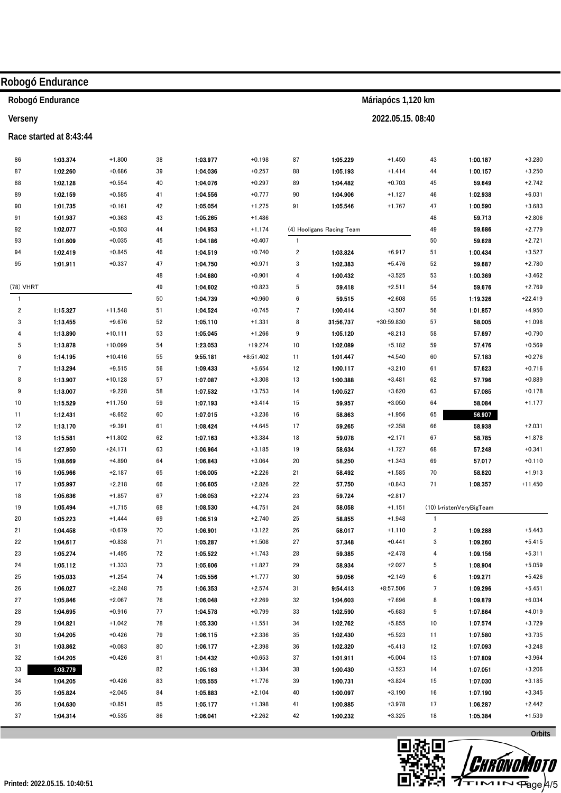|              | Robogó Endurance        |           |    |          |             |                         |                           |                    |                         |                         |           |
|--------------|-------------------------|-----------|----|----------|-------------|-------------------------|---------------------------|--------------------|-------------------------|-------------------------|-----------|
|              | Robogó Endurance        |           |    |          |             |                         |                           | Máriapócs 1,120 km |                         |                         |           |
| Verseny      |                         |           |    |          |             |                         |                           | 2022.05.15.08:40   |                         |                         |           |
|              | Race started at 8:43:44 |           |    |          |             |                         |                           |                    |                         |                         |           |
| 86           | 1:03.374                | $+1.800$  | 38 | 1:03.977 | $+0.198$    | 87                      | 1:05.229                  | $+1.450$           | 43                      | 1:00.187                | $+3.280$  |
| 87           | 1:02.260                | $+0.686$  | 39 | 1:04.036 | $+0.257$    | 88                      | 1:05.193                  | $+1.414$           | 44                      | 1:00.157                | $+3.250$  |
| 88           | 1:02.128                | $+0.554$  | 40 | 1:04.076 | $+0.297$    | 89                      | 1:04.482                  | $+0.703$           | 45                      | 59.649                  | $+2.742$  |
| 89           | 1:02.159                | $+0.585$  | 41 | 1:04.556 | $+0.777$    | 90                      | 1:04.906                  | $+1.127$           | 46                      | 1:02.938                | $+6.031$  |
| 90           | 1:01.735                | $+0.161$  | 42 | 1:05.054 | $+1.275$    | 91                      | 1:05.546                  | $+1.767$           | 47                      | 1:00.590                | $+3.683$  |
| 91           | 1:01.937                | $+0.363$  | 43 | 1:05.265 | $+1.486$    |                         |                           |                    | 48                      | 59.713                  | $+2.806$  |
| 92           | 1:02.077                | $+0.503$  | 44 | 1:04.953 | $+1.174$    |                         | (4) Hooligans Racing Team |                    | 49                      | 59.686                  | $+2.779$  |
| 93           | 1:01.609                | $+0.035$  | 45 | 1:04.186 | $+0.407$    | $\mathbf{1}$            |                           |                    | 50                      | 59.628                  | $+2.721$  |
| 94           | 1:02.419                | $+0.845$  | 46 | 1:04.519 | $+0.740$    | $\overline{\mathbf{2}}$ | 1:03.824                  | $+6.917$           | 51                      | 1:00.434                | $+3.527$  |
| 95           | 1:01.911                | $+0.337$  | 47 | 1:04.750 | $+0.971$    | 3                       | 1:02.383                  | $+5.476$           | 52                      | 59.687                  | $+2.780$  |
|              |                         |           | 48 | 1:04.680 | $+0.901$    | 4                       | 1:00.432                  | $+3.525$           | 53                      | 1:00.369                | $+3.462$  |
| (78) VHRT    |                         |           | 49 | 1:04.602 | $+0.823$    | 5                       | 59.418                    | $+2.511$           | 54                      | 59.676                  | $+2.769$  |
| $\mathbf{1}$ |                         |           | 50 | 1:04.739 | $+0.960$    | 6                       | 59.515                    | $+2.608$           | 55                      | 1:19.326                | $+22.419$ |
| 2            | 1:15.327                | $+11.548$ | 51 | 1:04.524 | $+0.745$    | 7                       | 1:00.414                  | $+3.507$           | 56                      | 1:01.857                | $+4.950$  |
| 3            | 1:13.455                | $+9.676$  | 52 | 1:05.110 | $+1.331$    | 8                       | 31:56.737                 | $+30:59.830$       | 57                      | 58.005                  | $+1.098$  |
| 4            | 1:13.890                | $+10.111$ | 53 | 1:05.045 | $+1.266$    | 9                       | 1:05.120                  | $+8.213$           | 58                      | 57.697                  | $+0.790$  |
| 5            | 1:13.878                | $+10.099$ | 54 | 1:23.053 | $+19.274$   | 10                      | 1:02.089                  | $+5.182$           | 59                      | 57.476                  | $+0.569$  |
| 6            | 1:14.195                | $+10.416$ | 55 | 9:55.181 | $+8:51.402$ | 11                      | 1:01.447                  | $+4.540$           | 60                      | 57.183                  | $+0.276$  |
| 7            | 1:13.294                | $+9.515$  | 56 | 1:09.433 | $+5.654$    | 12                      | 1:00.117                  | $+3.210$           | 61                      | 57.623                  | $+0.716$  |
| 8            | 1:13.907                | $+10.128$ | 57 | 1:07.087 | $+3.308$    | 13                      | 1:00.388                  | $+3.481$           | 62                      | 57.796                  | $+0.889$  |
| 9            | 1:13.007                | $+9.228$  | 58 | 1:07.532 | $+3.753$    | 14                      | 1:00.527                  | $+3.620$           | 63                      | 57.085                  | $+0.178$  |
| 10           | 1:15.529                | $+11.750$ | 59 | 1:07.193 | $+3.414$    | 15                      | 59.957                    | $+3.050$           | 64                      | 58.084                  | $+1.177$  |
| 11           | 1:12.431                | $+8.652$  | 60 | 1:07.015 | $+3.236$    | 16                      | 58.863                    | $+1.956$           | 65                      | 56.907                  |           |
| 12           | 1:13.170                | $+9.391$  | 61 | 1:08.424 | $+4.645$    | 17                      | 59.265                    | $+2.358$           | 66                      | 58.938                  | $+2.031$  |
| 13           | 1:15.581                | $+11.802$ | 62 | 1:07.163 | $+3.384$    | 18                      | 59.078                    | $+2.171$           | 67                      | 58.785                  | $+1.878$  |
| 14           | 1:27.950                | $+24.171$ | 63 | 1:06.964 | $+3.185$    | 19                      | 58.634                    | $+1.727$           | 68                      | 57.248                  | $+0.341$  |
| 15           | 1:08.669                | $+4.890$  | 64 | 1:06.843 | $+3.064$    | 20                      | 58.250                    | $+1.343$           | 69                      | 57.017                  | $+0.110$  |
| 16           | 1:05.966                | $+2.187$  | 65 | 1:06.005 | $+2.226$    | 21                      | 58.492                    | $+1.585$           | 70                      | 58.820                  | $+1.913$  |
| 17           | 1:05.997                | $+2.218$  | 66 | 1:06.605 | $+2.826$    | 22                      | 57.750                    | $+0.843$           | 71                      | 1:08.357                | $+11.450$ |
| 18           | 1:05.636                | $+1.857$  | 67 | 1:06.053 | $+2.274$    | 23                      | 59.724                    | $+2.817$           |                         |                         |           |
| 19           | 1:05.494                | $+1.715$  | 68 | 1:08.530 | $+4.751$    | 24                      | 58.058                    | $+1.151$           |                         | (10) VristenVeryBigTeam |           |
| 20           | 1:05.223                | $+1.444$  | 69 | 1:06.519 | $+2.740$    | 25                      | 58.855                    | $+1.948$           | $\mathbf{1}$            |                         |           |
| 21           | 1:04.458                | $+0.679$  | 70 | 1:06.901 | $+3.122$    | 26                      | 58.017                    | $+1.110$           | $\overline{\mathbf{c}}$ | 1:09.288                | $+5.443$  |
| 22           | 1:04.617                | $+0.838$  | 71 | 1.05.287 | $+1.508$    | 27                      | 57.348                    | $+0.441$           | 3                       | 1:09.260                | $+5.415$  |
| 23           | 1:05.274                | $+1.495$  | 72 | 1:05.522 | $+1.743$    | 28                      | 59.385                    | $+2.478$           | 4                       | 1:09.156                | $+5.311$  |
| 24           | 1:05.112                | $+1.333$  | 73 | 1:05.606 | $+1.827$    | 29                      | 58.934                    | $+2.027$           | 5                       | 1:08.904                | $+5.059$  |
| 25           | 1:05.033                | $+1.254$  | 74 | 1:05.556 | $+1.777$    | 30                      | 59.056                    | $+2.149$           | 6                       | 1:09.271                | $+5.426$  |
| ${\bf 26}$   | 1:06.027                | $+2.248$  | 75 | 1:06.353 | $+2.574$    | 31                      | 9:54.413                  | $+8:57.506$        | $\overline{7}$          | 1:09.296                | $+5.451$  |
| 27           | 1:05.846                | $+2.067$  | 76 | 1:06.048 | $+2.269$    | 32                      | 1:04.603                  | $+7.696$           | 8                       | 1:09.879                | $+6.034$  |
| 28           | 1:04.695                | $+0.916$  | 77 | 1:04.578 | $+0.799$    | 33                      | 1:02.590                  | $+5.683$           | 9                       | 1:07.864                | $+4.019$  |
| 29           | 1:04.821                | $+1.042$  | 78 | 1:05.330 | $+1.551$    | 34                      | 1:02.762                  | $+5.855$           | 10                      | 1:07.574                | $+3.729$  |
| 30           | 1:04.205                | $+0.426$  | 79 | 1:06.115 | $+2.336$    | 35                      | 1:02.430                  | $+5.523$           | 11                      | 1:07.580                | $+3.735$  |
| 31           | 1:03.862                | $+0.083$  | 80 | 1:06.177 | $+2.398$    | 36                      | 1:02.320                  | $+5.413$           | 12                      | 1:07.093                | $+3.248$  |
| 32           | 1:04.205                | $+0.426$  | 81 | 1:04.432 | $+0.653$    | 37                      | 1:01.911                  | $+5.004$           | 13                      | 1:07.809                | $+3.964$  |
| 33           | 1:03.779                |           | 82 | 1:05.163 | $+1.384$    | 38                      | 1:00.430                  | $+3.523$           | 14                      | 1:07.051                | $+3.206$  |
| 34           | 1:04.205                | $+0.426$  | 83 | 1:05.555 | $+1.776$    | 39                      | 1:00.731                  | $+3.824$           | 15                      | 1:07.030                | $+3.185$  |
| 35           | 1:05.824                | $+2.045$  | 84 | 1:05.883 | $+2.104$    | 40                      | 1:00.097                  | $+3.190$           | 16                      | 1:07.190                | $+3.345$  |
| 36           | 1:04.630                | $+0.851$  | 85 | 1:05.177 | $+1.398$    | 41                      | 1:00.885                  | $+3.978$           | 17                      | 1:06.287                | $+2.442$  |
| 37           | 1:04.314                | $+0.535$  | 86 | 1:06.041 | $+2.262$    | 42                      | 1:00.232                  | $+3.325$           | 18                      | 1:05.384                | $+1.539$  |
|              |                         |           |    |          |             |                         |                           |                    |                         |                         | Orbits    |



**ww.miloro Licensed to: Hungary** 

<del>P</del>age/4/5